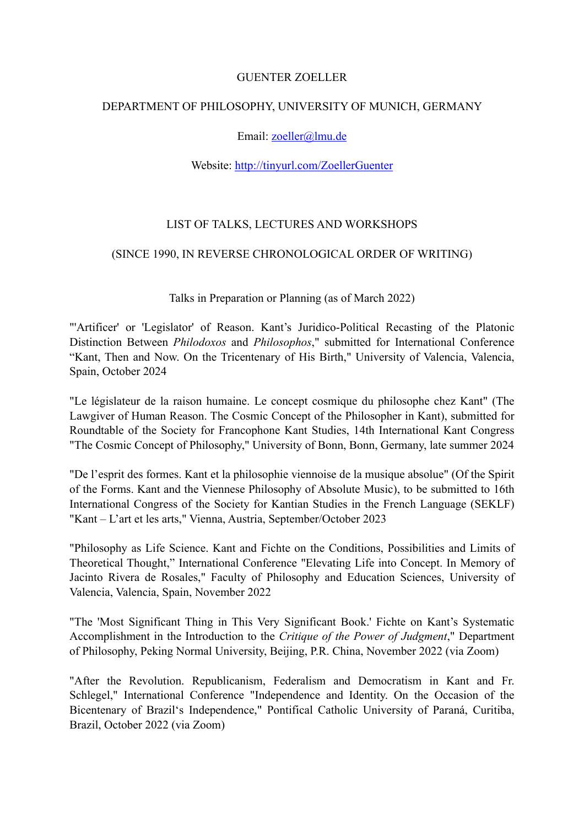### GUENTER ZOELLER

## DEPARTMENT OF PHILOSOPHY, UNIVERSITY OF MUNICH, GERMANY

## Email: [zoeller@lmu.de](mailto:zoeller@lmu.de)

#### Website:<http://tinyurl.com/ZoellerGuenter>

## LIST OF TALKS, LECTURES AND WORKSHOPS

#### (SINCE 1990, IN REVERSE CHRONOLOGICAL ORDER OF WRITING)

#### Talks in Preparation or Planning (as of March 2022)

"'Artificer' or 'Legislator' of Reason. Kant's Juridico-Political Recasting of the Platonic Distinction Between *Philodoxos* and *Philosophos*," submitted for International Conference "Kant, Then and Now. On the Tricentenary of His Birth," University of Valencia, Valencia, Spain, October 2024

"Le législateur de la raison humaine. Le concept cosmique du philosophe chez Kant" (The Lawgiver of Human Reason. The Cosmic Concept of the Philosopher in Kant), submitted for Roundtable of the Society for Francophone Kant Studies, 14th International Kant Congress "The Cosmic Concept of Philosophy," University of Bonn, Bonn, Germany, late summer 2024

"De l'esprit des formes. Kant et la philosophie viennoise de la musique absolue" (Of the Spirit of the Forms. Kant and the Viennese Philosophy of Absolute Music), to be submitted to 16th International Congress of the Society for Kantian Studies in the French Language (SEKLF) "Kant – L'art et les arts," Vienna, Austria, September/October 2023

"Philosophy as Life Science. Kant and Fichte on the Conditions, Possibilities and Limits of Theoretical Thought," International Conference "Elevating Life into Concept. In Memory of Jacinto Rivera de Rosales," Faculty of Philosophy and Education Sciences, University of Valencia, Valencia, Spain, November 2022

"The 'Most Significant Thing in This Very Significant Book.' Fichte on Kant's Systematic Accomplishment in the Introduction to the *Critique of the Power of Judgment*," Department of Philosophy, Peking Normal University, Beijing, P.R. China, November 2022 (via Zoom)

"After the Revolution. Republicanism, Federalism and Democratism in Kant and Fr. Schlegel," International Conference "Independence and Identity. On the Occasion of the Bicentenary of Brazil's Independence," Pontifical Catholic University of Paraná, Curitiba, Brazil, October 2022 (via Zoom)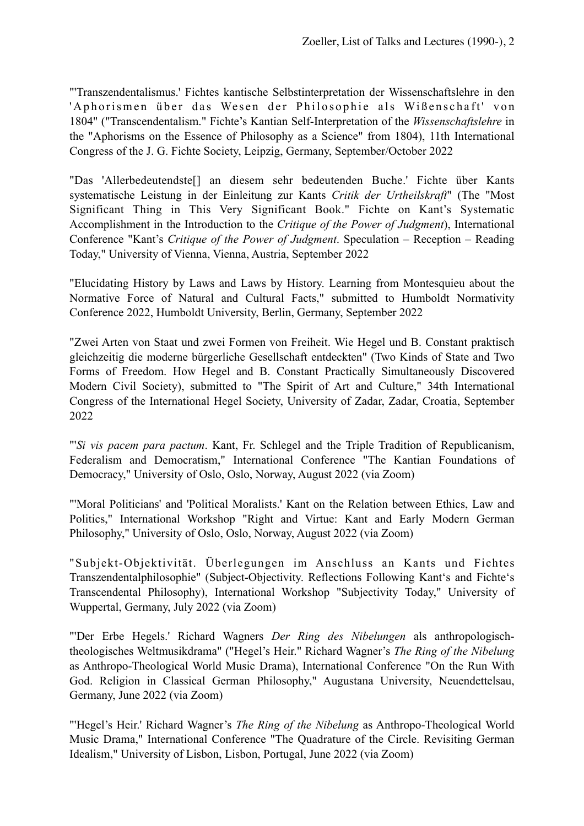"'Transzendentalismus.' Fichtes kantische Selbstinterpretation der Wissenschaftslehre in den 'Aphorismen über das Wesen der Philosophie als Wißenschaft' von 1804" ("Transcendentalism." Fichte's Kantian Self-Interpretation of the *Wissenschaftslehre* in the "Aphorisms on the Essence of Philosophy as a Science" from 1804), 11th International Congress of the J. G. Fichte Society, Leipzig, Germany, September/October 2022

"Das 'Allerbedeutendste[] an diesem sehr bedeutenden Buche.' Fichte über Kants systematische Leistung in der Einleitung zur Kants *Critik der Urtheilskraft*" (The "Most Significant Thing in This Very Significant Book." Fichte on Kant's Systematic Accomplishment in the Introduction to the *Critique of the Power of Judgment*), International Conference "Kant's *Critique of the Power of Judgment*. Speculation – Reception – Reading Today," University of Vienna, Vienna, Austria, September 2022

"Elucidating History by Laws and Laws by History. Learning from Montesquieu about the Normative Force of Natural and Cultural Facts," submitted to Humboldt Normativity Conference 2022, Humboldt University, Berlin, Germany, September 2022

"Zwei Arten von Staat und zwei Formen von Freiheit. Wie Hegel und B. Constant praktisch gleichzeitig die moderne bürgerliche Gesellschaft entdeckten" (Two Kinds of State and Two Forms of Freedom. How Hegel and B. Constant Practically Simultaneously Discovered Modern Civil Society), submitted to "The Spirit of Art and Culture," 34th International Congress of the International Hegel Society, University of Zadar, Zadar, Croatia, September 2022

"'*Si vis pacem para pactum*. Kant, Fr. Schlegel and the Triple Tradition of Republicanism, Federalism and Democratism," International Conference "The Kantian Foundations of Democracy," University of Oslo, Oslo, Norway, August 2022 (via Zoom)

"'Moral Politicians' and 'Political Moralists.' Kant on the Relation between Ethics, Law and Politics," International Workshop "Right and Virtue: Kant and Early Modern German Philosophy," University of Oslo, Oslo, Norway, August 2022 (via Zoom)

"Subjekt-Objektivität. Überlegungen im Anschluss an Kants und Fichtes Transzendentalphilosophie" (Subject-Objectivity. Reflections Following Kant's and Fichte's Transcendental Philosophy), International Workshop "Subjectivity Today," University of Wuppertal, Germany, July 2022 (via Zoom)

"'Der Erbe Hegels.' Richard Wagners *Der Ring des Nibelungen* als anthropologischtheologisches Weltmusikdrama" ("Hegel's Heir." Richard Wagner's *The Ring of the Nibelung* as Anthropo-Theological World Music Drama), International Conference "On the Run With God. Religion in Classical German Philosophy," Augustana University, Neuendettelsau, Germany, June 2022 (via Zoom)

"'Hegel's Heir.' Richard Wagner's *The Ring of the Nibelung* as Anthropo-Theological World Music Drama," International Conference "The Quadrature of the Circle. Revisiting German Idealism," University of Lisbon, Lisbon, Portugal, June 2022 (via Zoom)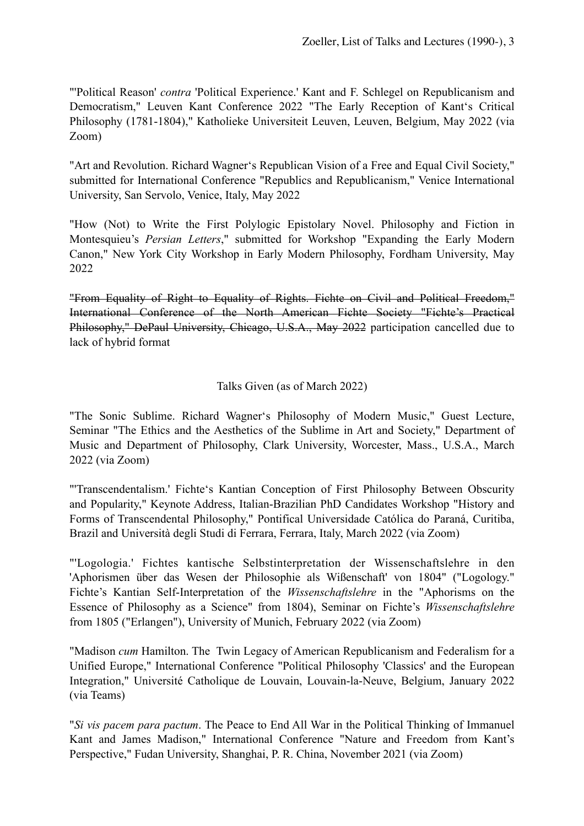"'Political Reason' *contra* 'Political Experience.' Kant and F. Schlegel on Republicanism and Democratism," Leuven Kant Conference 2022 "The Early Reception of Kant's Critical Philosophy (1781-1804)," Katholieke Universiteit Leuven, Leuven, Belgium, May 2022 (via Zoom)

"Art and Revolution. Richard Wagner's Republican Vision of a Free and Equal Civil Society," submitted for International Conference "Republics and Republicanism," Venice International University, San Servolo, Venice, Italy, May 2022

"How (Not) to Write the First Polylogic Epistolary Novel. Philosophy and Fiction in Montesquieu's *Persian Letters*," submitted for Workshop "Expanding the Early Modern Canon," New York City Workshop in Early Modern Philosophy, Fordham University, May 2022

"From Equality of Right to Equality of Rights. Fichte on Civil and Political Freedom," International Conference of the North American Fichte Society "Fichte's Practical Philosophy," DePaul University, Chicago, U.S.A., May 2022 participation cancelled due to lack of hybrid format

# Talks Given (as of March 2022)

"The Sonic Sublime. Richard Wagner's Philosophy of Modern Music," Guest Lecture, Seminar "The Ethics and the Aesthetics of the Sublime in Art and Society," Department of Music and Department of Philosophy, Clark University, Worcester, Mass., U.S.A., March 2022 (via Zoom)

"'Transcendentalism.' Fichte's Kantian Conception of First Philosophy Between Obscurity and Popularity," Keynote Address, Italian-Brazilian PhD Candidates Workshop "History and Forms of Transcendental Philosophy," Pontifical Universidade Católica do Paraná, Curitiba, Brazil and Università degli Studi di Ferrara, Ferrara, Italy, March 2022 (via Zoom)

"'Logologia.' Fichtes kantische Selbstinterpretation der Wissenschaftslehre in den 'Aphorismen über das Wesen der Philosophie als Wißenschaft' von 1804" ("Logology." Fichte's Kantian Self-Interpretation of the *Wissenschaftslehre* in the "Aphorisms on the Essence of Philosophy as a Science" from 1804), Seminar on Fichte's *Wissenschaftslehre* from 1805 ("Erlangen"), University of Munich, February 2022 (via Zoom)

"Madison *cum* Hamilton. The Twin Legacy of American Republicanism and Federalism for a Unified Europe," International Conference "Political Philosophy 'Classics' and the European Integration," Université Catholique de Louvain, Louvain-la-Neuve, Belgium, January 2022 (via Teams)

"*Si vis pacem para pactum*. The Peace to End All War in the Political Thinking of Immanuel Kant and James Madison," International Conference "Nature and Freedom from Kant's Perspective," Fudan University, Shanghai, P. R. China, November 2021 (via Zoom)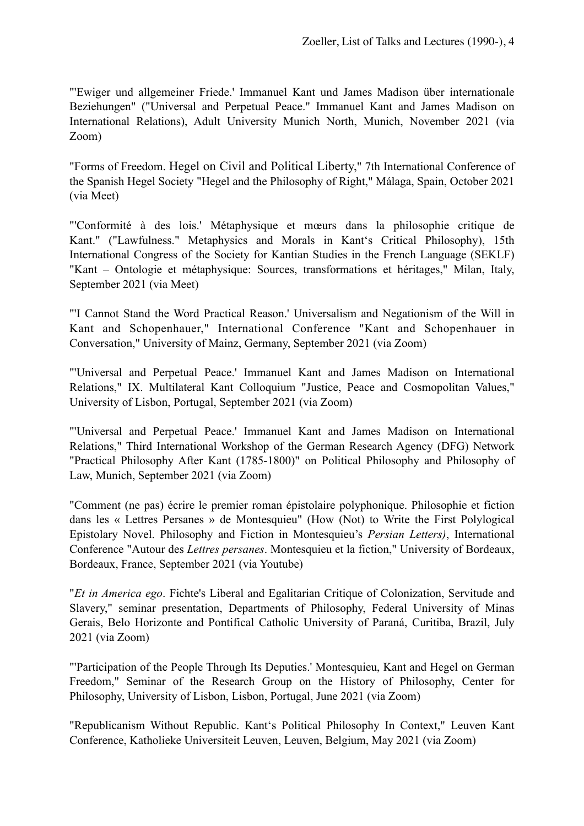"'Ewiger und allgemeiner Friede.' Immanuel Kant und James Madison über internationale Beziehungen" ("Universal and Perpetual Peace." Immanuel Kant and James Madison on International Relations), Adult University Munich North, Munich, November 2021 (via Zoom)

"Forms of Freedom. Hegel on Civil and Political Liberty," 7th International Conference of the Spanish Hegel Society "Hegel and the Philosophy of Right," Málaga, Spain, October 2021 (via Meet)

"'Conformité à des lois.' Métaphysique et mœurs dans la philosophie critique de Kant." ("Lawfulness." Metaphysics and Morals in Kant's Critical Philosophy), 15th International Congress of the Society for Kantian Studies in the French Language (SEKLF) "Kant – Ontologie et métaphysique: Sources, transformations et héritages," Milan, Italy, September 2021 (via Meet)

"'I Cannot Stand the Word Practical Reason.' Universalism and Negationism of the Will in Kant and Schopenhauer," International Conference "Kant and Schopenhauer in Conversation," University of Mainz, Germany, September 2021 (via Zoom)

"'Universal and Perpetual Peace.' Immanuel Kant and James Madison on International Relations," IX. Multilateral Kant Colloquium "Justice, Peace and Cosmopolitan Values," University of Lisbon, Portugal, September 2021 (via Zoom)

"'Universal and Perpetual Peace.' Immanuel Kant and James Madison on International Relations," Third International Workshop of the German Research Agency (DFG) Network "Practical Philosophy After Kant (1785-1800)" on Political Philosophy and Philosophy of Law, Munich, September 2021 (via Zoom)

"Comment (ne pas) écrire le premier roman épistolaire polyphonique. Philosophie et fiction dans les « Lettres Persanes » de Montesquieu" (How (Not) to Write the First Polylogical Epistolary Novel. Philosophy and Fiction in Montesquieu's *Persian Letters)*, International Conference "Autour des *Lettres persanes*. Montesquieu et la fiction," University of Bordeaux, Bordeaux, France, September 2021 (via Youtube)

"*Et in America ego*. Fichte's Liberal and Egalitarian Critique of Colonization, Servitude and Slavery," seminar presentation, Departments of Philosophy, Federal University of Minas Gerais, Belo Horizonte and Pontifical Catholic University of Paraná, Curitiba, Brazil, July 2021 (via Zoom)

"'Participation of the People Through Its Deputies.' Montesquieu, Kant and Hegel on German Freedom," Seminar of the Research Group on the History of Philosophy, Center for Philosophy, University of Lisbon, Lisbon, Portugal, June 2021 (via Zoom)

"Republicanism Without Republic. Kant's Political Philosophy In Context," Leuven Kant Conference, Katholieke Universiteit Leuven, Leuven, Belgium, May 2021 (via Zoom)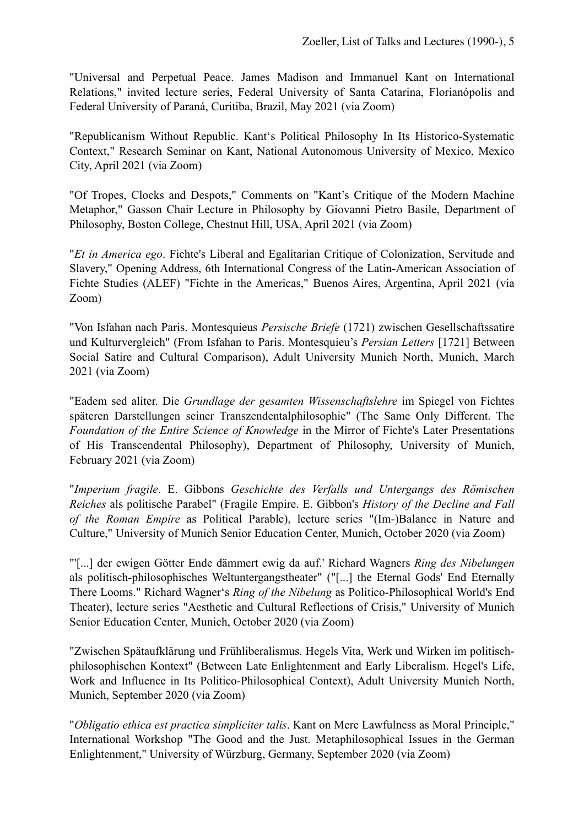"Universal and Perpetual Peace. James Madison and Immanuel Kant on International Relations," invited lecture series, Federal University of Santa Catarina, Florianópolis and Federal University of Paraná, Curitiba, Brazil, May 2021 (via Zoom)

"Republicanism Without Republic. Kant's Political Philosophy In Its Historico-Systematic Context," Research Seminar on Kant, National Autonomous University of Mexico, Mexico City, April 2021 (via Zoom)

"Of Tropes, Clocks and Despots," Comments on "Kant's Critique of the Modern Machine Metaphor," Gasson Chair Lecture in Philosophy by Giovanni Pietro Basile, Department of Philosophy, Boston College, Chestnut Hill, USA, April 2021 (via Zoom)

"*Et in America ego*. Fichte's Liberal and Egalitarian Critique of Colonization, Servitude and Slavery," Opening Address, 6th International Congress of the Latin-American Association of Fichte Studies (ALEF) "Fichte in the Americas," Buenos Aires, Argentina, April 2021 (via Zoom)

"Von Isfahan nach Paris. Montesquieus *Persische Briefe* (1721) zwischen Gesellschaftssatire und Kulturvergleich" (From Isfahan to Paris. Montesquieu's *Persian Letters* [1721] Between Social Satire and Cultural Comparison), Adult University Munich North, Munich, March 2021 (via Zoom)

"Eadem sed aliter. Die *Grundlage der gesamten Wissenschaftslehre* im Spiegel von Fichtes späteren Darstellungen seiner Transzendentalphilosophie" (The Same Only Different. The *Foundation of the Entire Science of Knowledge* in the Mirror of Fichte's Later Presentations of His Transcendental Philosophy), Department of Philosophy, University of Munich, February 2021 (via Zoom)

"*Imperium fragile*. E. Gibbons *Geschichte des Verfalls und Untergangs des Römischen Reiches* als politische Parabel" (Fragile Empire. E. Gibbon's *History of the Decline and Fall of the Roman Empire* as Political Parable), lecture series "(Im-)Balance in Nature and Culture," University of Munich Senior Education Center, Munich, October 2020 (via Zoom)

"'[...] der ewigen Götter Ende dämmert ewig da auf.' Richard Wagners *Ring des Nibelungen*  als politisch-philosophisches Weltuntergangstheater" ("[...] the Eternal Gods' End Eternally There Looms." Richard Wagner's *Ring of the Nibelung* as Politico-Philosophical World's End Theater), lecture series "Aesthetic and Cultural Reflections of Crisis," University of Munich Senior Education Center, Munich, October 2020 (via Zoom)

"Zwischen Spätaufklärung und Frühliberalismus. Hegels Vita, Werk und Wirken im politischphilosophischen Kontext" (Between Late Enlightenment and Early Liberalism. Hegel's Life, Work and Influence in Its Politico-Philosophical Context), Adult University Munich North, Munich, September 2020 (via Zoom)

"*Obligatio ethica est practica simpliciter talis*. Kant on Mere Lawfulness as Moral Principle," International Workshop "The Good and the Just. Metaphilosophical Issues in the German Enlightenment," University of Würzburg, Germany, September 2020 (via Zoom)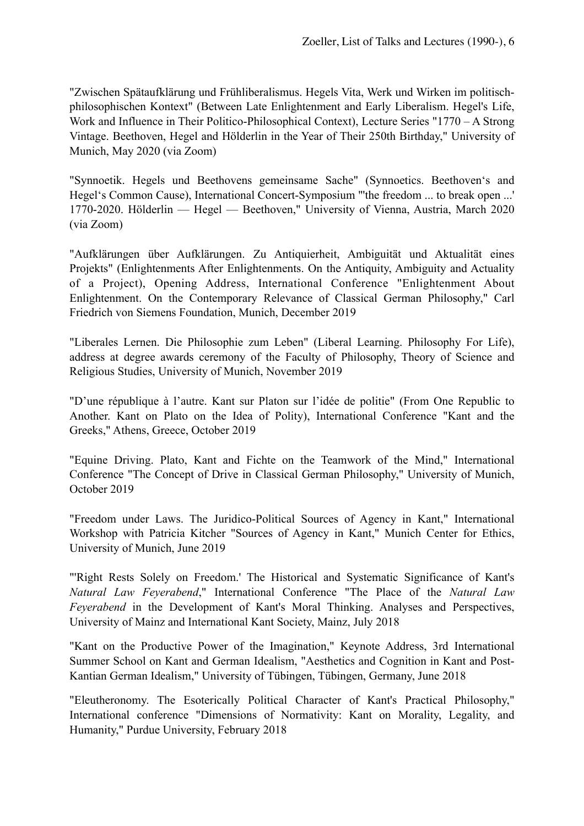"Zwischen Spätaufklärung und Frühliberalismus. Hegels Vita, Werk und Wirken im politischphilosophischen Kontext" (Between Late Enlightenment and Early Liberalism. Hegel's Life, Work and Influence in Their Politico-Philosophical Context), Lecture Series "1770 – A Strong Vintage. Beethoven, Hegel and Hölderlin in the Year of Their 250th Birthday," University of Munich, May 2020 (via Zoom)

"Synnoetik. Hegels und Beethovens gemeinsame Sache" (Synnoetics. Beethoven's and Hegel's Common Cause), International Concert-Symposium "'the freedom ... to break open ...' 1770-2020. Hölderlin — Hegel — Beethoven," University of Vienna, Austria, March 2020 (via Zoom)

"Aufklärungen über Aufklärungen. Zu Antiquierheit, Ambiguität und Aktualität eines Projekts" (Enlightenments After Enlightenments. On the Antiquity, Ambiguity and Actuality of a Project), Opening Address, International Conference "Enlightenment About Enlightenment. On the Contemporary Relevance of Classical German Philosophy," Carl Friedrich von Siemens Foundation, Munich, December 2019

"Liberales Lernen. Die Philosophie zum Leben" (Liberal Learning. Philosophy For Life), address at degree awards ceremony of the Faculty of Philosophy, Theory of Science and Religious Studies, University of Munich, November 2019

"D'une république à l'autre. Kant sur Platon sur l'idée de politie" (From One Republic to Another. Kant on Plato on the Idea of Polity), International Conference "Kant and the Greeks," Athens, Greece, October 2019

"Equine Driving. Plato, Kant and Fichte on the Teamwork of the Mind," International Conference "The Concept of Drive in Classical German Philosophy," University of Munich, October 2019

"Freedom under Laws. The Juridico-Political Sources of Agency in Kant," [International](http://www.apple.com) Workshop with Patricia Kitcher "Sources of Agency in Kant," Munich Center for Ethics, University of Munich, June 2019

"'Right Rests Solely on Freedom.' The Historical and Systematic Significance of Kant's *Natural Law Feyerabend*," International Conference "The Place of the *Natural Law Feyerabend* in the Development of Kant's Moral Thinking. Analyses and Perspectives, University of Mainz and International Kant Society, Mainz, July 2018

"Kant on the Productive Power of the Imagination," Keynote Address, 3rd International Summer School on Kant and German Idealism, "Aesthetics and Cognition in Kant and Post-Kantian German Idealism," University of Tübingen, Tübingen, Germany, June 2018

"Eleutheronomy. The Esoterically Political Character of Kant's Practical Philosophy," International conference "Dimensions of Normativity: Kant on Morality, Legality, and Humanity," Purdue University, February 2018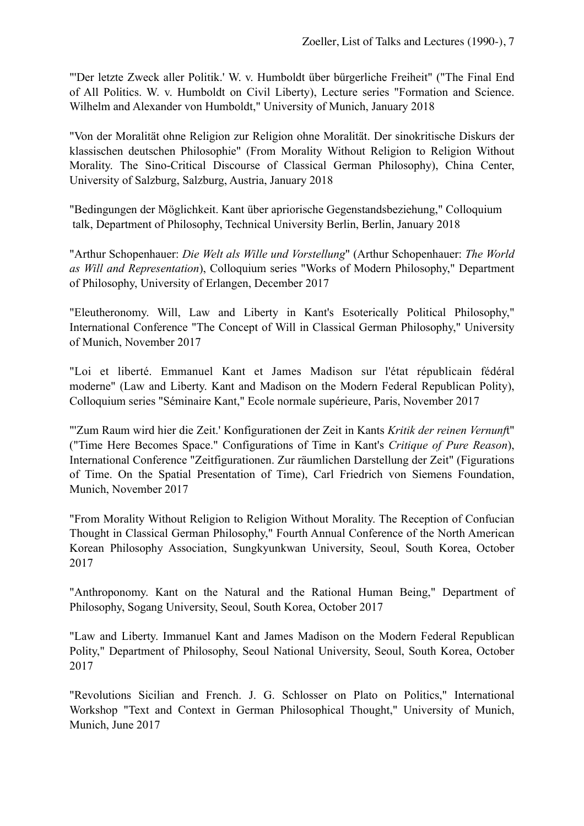"'Der letzte Zweck aller Politik.' W. v. Humboldt über bürgerliche Freiheit" ("The Final End of All Politics. W. v. Humboldt on Civil Liberty), Lecture series "Formation and Science. Wilhelm and Alexander von Humboldt," University of Munich, January 2018

"Von der Moralität ohne Religion zur Religion ohne Moralität. Der sinokritische Diskurs der klassischen deutschen Philosophie" (From Morality Without Religion to Religion Without Morality. The Sino-Critical Discourse of Classical German Philosophy), China Center, University of Salzburg, Salzburg, Austria, January 2018

"Bedingungen der Möglichkeit. Kant über apriorische Gegenstandsbeziehung," Colloquium talk, Department of Philosophy, Technical University Berlin, Berlin, January 2018

"Arthur Schopenhauer: *Die Welt als Wille und Vorstellung*" (Arthur Schopenhauer: *The World as Will and Representation*), Colloquium series "Works of Modern Philosophy," Department of Philosophy, University of Erlangen, December 2017

"Eleutheronomy. Will, Law and Liberty in Kant's Esoterically Political Philosophy," International Conference "The Concept of Will in Classical German Philosophy," University of Munich, November 2017

"Loi et liberté. Emmanuel Kant et James Madison sur l'état républicain fédéral moderne" (Law and Liberty. Kant and Madison on the Modern Federal Republican Polity), Colloquium series "Séminaire Kant," Ecole normale supérieure, Paris, November 2017

"'Zum Raum wird hier die Zeit.' Konfigurationen der Zeit in Kants *Kritik der reinen Vernunf*t" ("Time Here Becomes Space." Configurations of Time in Kant's *Critique of Pure Reason*), International Conference "Zeitfigurationen. Zur räumlichen Darstellung der Zeit" (Figurations of Time. On the Spatial Presentation of Time), Carl Friedrich von Siemens Foundation, Munich, November 2017

"From Morality Without Religion to Religion Without Morality. The Reception of Confucian Thought in Classical German Philosophy," Fourth Annual Conference of the North American Korean Philosophy Association, Sungkyunkwan University, Seoul, South Korea, October 2017

"Anthroponomy. Kant on the Natural and the Rational Human Being," Department of Philosophy, Sogang University, Seoul, South Korea, October 2017

"Law and Liberty. Immanuel Kant and James Madison on the Modern Federal Republican Polity," Department of Philosophy, Seoul National University, Seoul, South Korea, October 2017

"Revolutions Sicilian and French. J. G. Schlosser on Plato on Politics," International Workshop "Text and Context in German Philosophical Thought," University of Munich, Munich, June 2017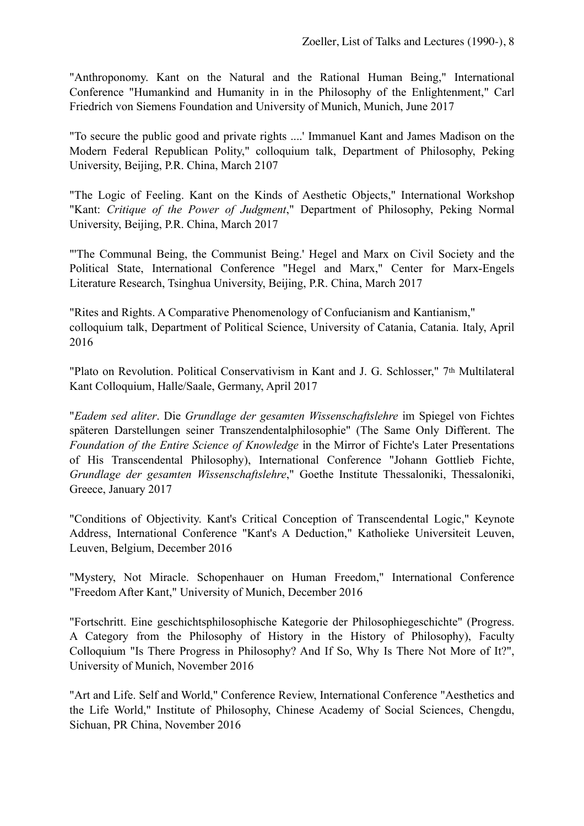"Anthroponomy. Kant on the Natural and the Rational Human Being," International Conference "Humankind and Humanity in in the Philosophy of the Enlightenment," Carl Friedrich von Siemens Foundation and University of Munich, Munich, June 2017

"To secure the public good and private rights ....' Immanuel Kant and James Madison on the Modern Federal Republican Polity," colloquium talk, Department of Philosophy, Peking University, Beijing, P.R. China, March 2107

"The Logic of Feeling. Kant on the Kinds of Aesthetic Objects," International Workshop "Kant: *Critique of the Power of Judgment*," Department of Philosophy, Peking Normal University, Beijing, P.R. China, March 2017

"'The Communal Being, the Communist Being.' Hegel and Marx on Civil Society and the Political State, International Conference "Hegel and Marx," Center for Marx-Engels Literature Research, Tsinghua University, Beijing, P.R. China, March 2017

"Rites and Rights. A Comparative Phenomenology of Confucianism and Kantianism," colloquium talk, Department of Political Science, University of Catania, Catania. Italy, April 2016

"Plato on Revolution. Political Conservativism in Kant and J. G. Schlosser," 7th Multilateral Kant Colloquium, Halle/Saale, Germany, April 2017

"*Eadem sed aliter*. Die *Grundlage der gesamten Wissenschaftslehre* im Spiegel von Fichtes späteren Darstellungen seiner Transzendentalphilosophie" (The Same Only Different. The *Foundation of the Entire Science of Knowledge* in the Mirror of Fichte's Later Presentations of His Transcendental Philosophy), International Conference "Johann Gottlieb Fichte, *Grundlage der gesamten Wissenschaftslehre*," Goethe Institute Thessaloniki, Thessaloniki, Greece, January 2017

"Conditions of Objectivity. Kant's Critical Conception of Transcendental Logic," Keynote Address, International Conference "Kant's A Deduction," Katholieke Universiteit Leuven, Leuven, Belgium, December 2016

"Mystery, Not Miracle. Schopenhauer on Human Freedom," International Conference "Freedom After Kant," University of Munich, December 2016

"Fortschritt. Eine geschichtsphilosophische Kategorie der Philosophiegeschichte" (Progress. A Category from the Philosophy of History in the History of Philosophy), Faculty Colloquium "Is There Progress in Philosophy? And If So, Why Is There Not More of It?", University of Munich, November 2016

"Art and Life. Self and World," Conference Review, International Conference "Aesthetics and the Life World," Institute of Philosophy, Chinese Academy of Social Sciences, Chengdu, Sichuan, PR China, November 2016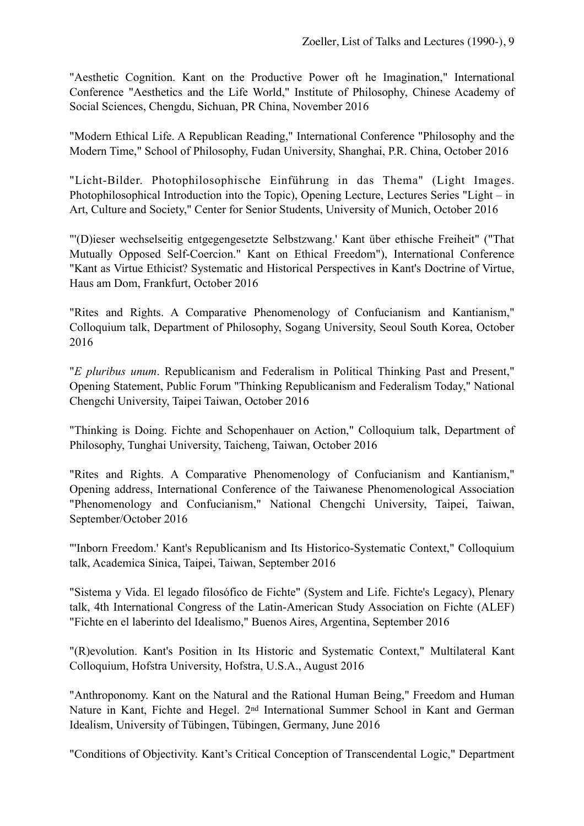"Aesthetic Cognition. Kant on the Productive Power oft he Imagination," International Conference "Aesthetics and the Life World," Institute of Philosophy, Chinese Academy of Social Sciences, Chengdu, Sichuan, PR China, November 2016

"Modern Ethical Life. A Republican Reading," International Conference "Philosophy and the Modern Time," School of Philosophy, Fudan University, Shanghai, P.R. China, October 2016

"Licht-Bilder. Photophilosophische Einführung in das Thema" (Light Images. Photophilosophical Introduction into the Topic), Opening Lecture, Lectures Series "Light – in Art, Culture and Society," Center for Senior Students, University of Munich, October 2016

"'(D)ieser wechselseitig entgegengesetzte Selbstzwang.' Kant über ethische Freiheit" ("That Mutually Opposed Self-Coercion." Kant on Ethical Freedom"), International Conference "Kant as Virtue Ethicist? Systematic and Historical Perspectives in Kant's Doctrine of Virtue, Haus am Dom, Frankfurt, October 2016

"Rites and Rights. A Comparative Phenomenology of Confucianism and Kantianism," Colloquium talk, Department of Philosophy, Sogang University, Seoul South Korea, October 2016

"*E pluribus unum*. Republicanism and Federalism in Political Thinking Past and Present," Opening Statement, Public Forum "Thinking Republicanism and Federalism Today," National Chengchi University, Taipei Taiwan, October 2016

"Thinking is Doing. Fichte and Schopenhauer on Action," Colloquium talk, Department of Philosophy, Tunghai University, Taicheng, Taiwan, October 2016

"Rites and Rights. A Comparative Phenomenology of Confucianism and Kantianism," Opening address, International Conference of the Taiwanese Phenomenological Association "Phenomenology and Confucianism," National Chengchi University, Taipei, Taiwan, September/October 2016

"'Inborn Freedom.' Kant's Republicanism and Its Historico-Systematic Context," Colloquium talk, Academica Sinica, Taipei, Taiwan, September 2016

"Sistema y Vida. El legado filosófico de Fichte" (System and Life. Fichte's Legacy), Plenary talk, 4th International Congress of the Latin-American Study Association on Fichte (ALEF) "Fichte en el laberinto del Idealismo," Buenos Aires, Argentina, September 2016

"(R)evolution. Kant's Position in Its Historic and Systematic Context," Multilateral Kant Colloquium, Hofstra University, Hofstra, U.S.A., August 2016

"Anthroponomy. Kant on the Natural and the Rational Human Being," Freedom and Human Nature in Kant, Fichte and Hegel. 2nd International Summer School in Kant and German Idealism, University of Tübingen, Tübingen, Germany, June 2016

"Conditions of Objectivity. Kant's Critical Conception of Transcendental Logic," Department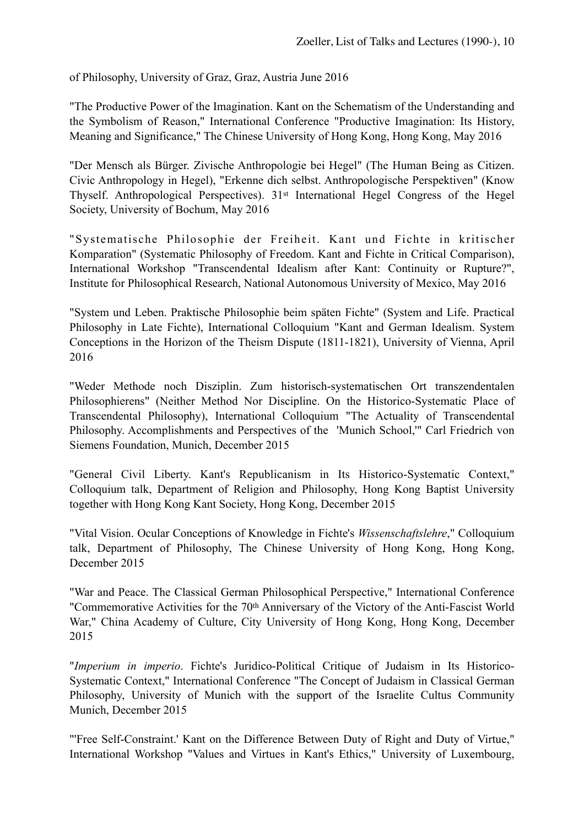of Philosophy, University of Graz, Graz, Austria June 2016

"The Productive Power of the Imagination. Kant on the Schematism of the Understanding and the Symbolism of Reason," International Conference "Productive Imagination: Its History, Meaning and Significance," The Chinese University of Hong Kong, Hong Kong, May 2016

"Der Mensch als Bürger. Zivische Anthropologie bei Hegel" (The Human Being as Citizen. Civic Anthropology in Hegel), "Erkenne dich selbst. Anthropologische Perspektiven" (Know Thyself. Anthropological Perspectives). 31st International Hegel Congress of the Hegel Society, University of Bochum, May 2016

"Systematische Philosophie der Freiheit. Kant und Fichte in kritischer Komparation" (Systematic Philosophy of Freedom. Kant and Fichte in Critical Comparison), International Workshop "Transcendental Idealism after Kant: Continuity or Rupture?", Institute for Philosophical Research, National Autonomous University of Mexico, May 2016

"System und Leben. Praktische Philosophie beim späten Fichte" (System and Life. Practical Philosophy in Late Fichte), International Colloquium "Kant and German Idealism. System Conceptions in the Horizon of the Theism Dispute (1811-1821), University of Vienna, April 2016

"Weder Methode noch Disziplin. Zum historisch-systematischen Ort transzendentalen Philosophierens" (Neither Method Nor Discipline. On the Historico-Systematic Place of Transcendental Philosophy), International Colloquium "The Actuality of Transcendental Philosophy. Accomplishments and Perspectives of the 'Munich School,'" Carl Friedrich von Siemens Foundation, Munich, December 2015

"General Civil Liberty. Kant's Republicanism in Its Historico-Systematic Context," Colloquium talk, Department of Religion and Philosophy, Hong Kong Baptist University together with Hong Kong Kant Society, Hong Kong, December 2015

"Vital Vision. Ocular Conceptions of Knowledge in Fichte's *Wissenschaftslehre*," Colloquium talk, Department of Philosophy, The Chinese University of Hong Kong, Hong Kong, December 2015

"War and Peace. The Classical German Philosophical Perspective," International Conference "Commemorative Activities for the 70th Anniversary of the Victory of the Anti-Fascist World War," China Academy of Culture, City University of Hong Kong, Hong Kong, December 2015

"*Imperium in imperio*. Fichte's Juridico-Political Critique of Judaism in Its Historico-Systematic Context," International Conference "The Concept of Judaism in Classical German Philosophy, University of Munich with the support of the Israelite Cultus Community Munich, December 2015

"'Free Self-Constraint.' Kant on the Difference Between Duty of Right and Duty of Virtue," International Workshop "Values and Virtues in Kant's Ethics," University of Luxembourg,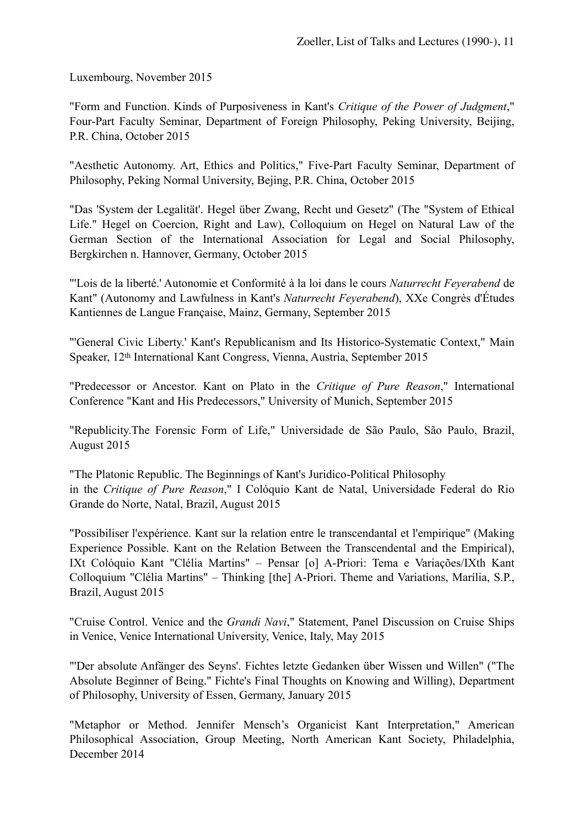Luxembourg, November 2015

"Form and Function. Kinds of Purposiveness in Kant's *Critique of the Power of Judgment*," Four-Part Faculty Seminar, Department of Foreign Philosophy, Peking University, Beijing, P.R. China, October 2015

"Aesthetic Autonomy. Art, Ethics and Politics," Five-Part Faculty Seminar, Department of Philosophy, Peking Normal University, Bejing, P.R. China, October 2015

"Das 'System der Legalität'. Hegel über Zwang, Recht und Gesetz" (The "System of Ethical Life." Hegel on Coercion, Right and Law), Colloquium on Hegel on Natural Law of the German Section of the International Association for Legal and Social Philosophy, Bergkirchen n. Hannover, Germany, October 2015

"'Lois de la liberté.' Autonomie et Conformité à la loi dans le cours *Naturrecht Feyerabend* de Kant" (Autonomy and Lawfulness in Kant's *Naturrecht Feyerabend*), XXe Congrès d'Études Kantiennes de Langue Française, Mainz, Germany, September 2015

"'General Civic Liberty.' Kant's Republicanism and Its Historico-Systematic Context," Main Speaker, 12th International Kant Congress, Vienna, Austria, September 2015

"Predecessor or Ancestor. Kant on Plato in the *Critique of Pure Reason*," International Conference "Kant and His Predecessors," University of Munich, September 2015

"Republicity.The Forensic Form of Life," Universidade de São Paulo, São Paulo, Brazil, August 2015

"The Platonic Republic. The Beginnings of Kant's Juridico-Political Philosophy in the *Critique of Pure Reason*," I Colóquio Kant de Natal, Universidade Federal do Rio Grande do Norte, Natal, Brazil, August 2015

"Possibiliser l'expérience. Kant sur la relation entre le transcendantal et l'empirique" (Making Experience Possible. Kant on the Relation Between the Transcendental and the Empirical), IXt Colóquio Kant "Clélia Martins" – Pensar [o] A-Priori: Tema e Variações/IXth Kant Colloquium "Clélia Martins" – Thinking [the] A-Priori. Theme and Variations, Marília, S.P., Brazil, August 2015

"Cruise Control. Venice and the *Grandi Navi*," Statement, Panel Discussion on Cruise Ships in Venice, Venice International University, Venice, Italy, May 2015

"'Der absolute Anfänger des Seyns'. Fichtes letzte Gedanken über Wissen und Willen" ("The Absolute Beginner of Being." Fichte's Final Thoughts on Knowing and Willing), Department of Philosophy, University of Essen, Germany, January 2015

"Metaphor or Method. Jennifer Mensch's Organicist Kant Interpretation," American Philosophical Association, Group Meeting, North American Kant Society, Philadelphia, December 2014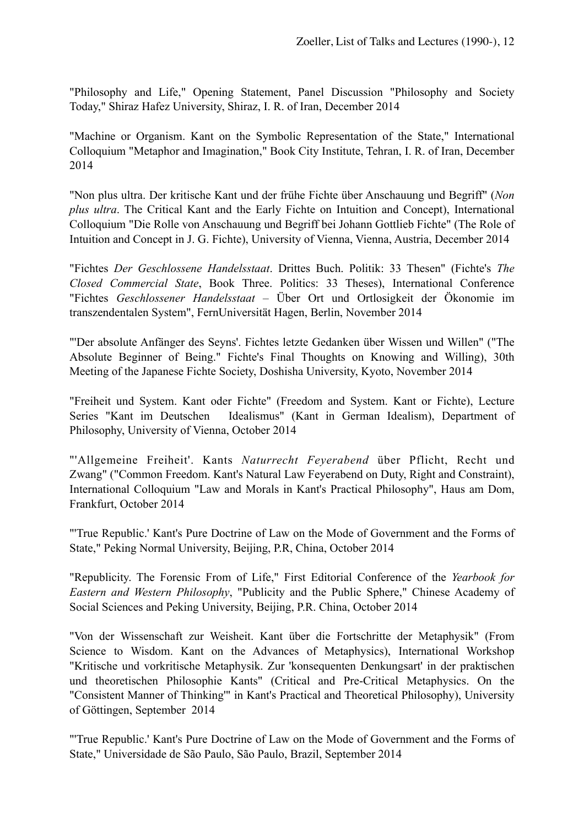"Philosophy and Life," Opening Statement, Panel Discussion "Philosophy and Society Today," Shiraz Hafez University, Shiraz, I. R. of Iran, December 2014

"Machine or Organism. Kant on the Symbolic Representation of the State," International Colloquium "Metaphor and Imagination," Book City Institute, Tehran, I. R. of Iran, December 2014

"Non plus ultra. Der kritische Kant und der frühe Fichte über Anschauung und Begriff" (*Non plus ultra*. The Critical Kant and the Early Fichte on Intuition and Concept), International Colloquium "Die Rolle von Anschauung und Begriff bei Johann Gottlieb Fichte" (The Role of Intuition and Concept in J. G. Fichte), University of Vienna, Vienna, Austria, December 2014

"Fichtes *Der Geschlossene Handelsstaat*. Drittes Buch. Politik: 33 Thesen" (Fichte's *The Closed Commercial State*, Book Three. Politics: 33 Theses), International Conference "Fichtes *Geschlossener Handelsstaat* – Über Ort und Ortlosigkeit der Ökonomie im transzendentalen System", FernUniversität Hagen, Berlin, November 2014

"'Der absolute Anfänger des Seyns'. Fichtes letzte Gedanken über Wissen und Willen" ("The Absolute Beginner of Being." Fichte's Final Thoughts on Knowing and Willing), 30th Meeting of the Japanese Fichte Society, Doshisha University, Kyoto, November 2014

"Freiheit und System. Kant oder Fichte" (Freedom and System. Kant or Fichte), Lecture Series "Kant im Deutschen Idealismus" (Kant in German Idealism), Department of Philosophy, University of Vienna, October 2014

"'Allgemeine Freiheit'. Kants *Naturrecht Feyerabend* über Pflicht, Recht und Zwang" ("Common Freedom. Kant's Natural Law Feyerabend on Duty, Right and Constraint), International Colloquium "Law and Morals in Kant's Practical Philosophy", Haus am Dom, Frankfurt, October 2014

"'True Republic.' Kant's Pure Doctrine of Law on the Mode of Government and the Forms of State," Peking Normal University, Beijing, P.R, China, October 2014

"Republicity. The Forensic From of Life," First Editorial Conference of the *Yearbook for Eastern and Western Philosophy*, "Publicity and the Public Sphere," Chinese Academy of Social Sciences and Peking University, Beijing, P.R. China, October 2014

"Von der Wissenschaft zur Weisheit. Kant über die Fortschritte der Metaphysik" (From Science to Wisdom. Kant on the Advances of Metaphysics), International Workshop "Kritische und vorkritische Metaphysik. Zur 'konsequenten Denkungsart' in der praktischen und theoretischen Philosophie Kants" (Critical and Pre-Critical Metaphysics. On the "Consistent Manner of Thinking'" in Kant's Practical and Theoretical Philosophy), University of Göttingen, September 2014

"'True Republic.' Kant's Pure Doctrine of Law on the Mode of Government and the Forms of State," Universidade de São Paulo, São Paulo, Brazil, September 2014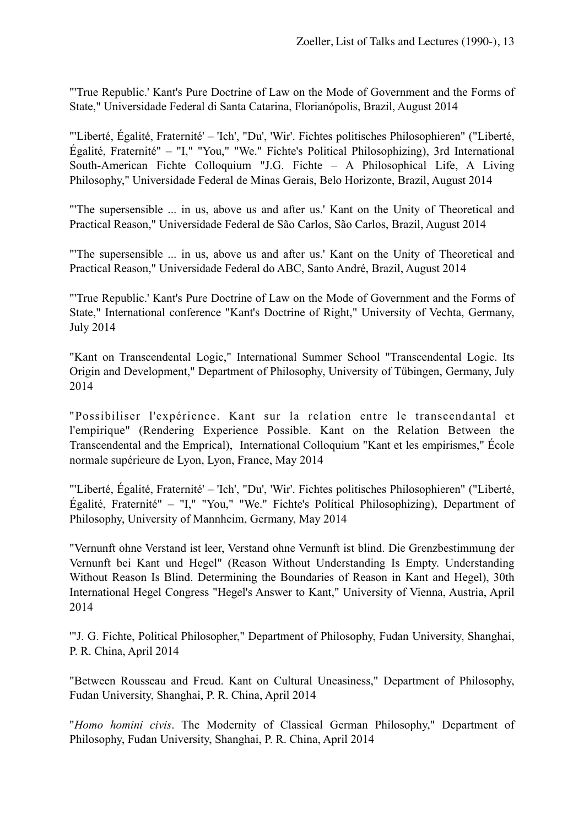"'True Republic.' Kant's Pure Doctrine of Law on the Mode of Government and the Forms of State," Universidade Federal di Santa Catarina, Florianópolis, Brazil, August 2014

"'Liberté, Égalité, Fraternité' – 'Ich', "Du', 'Wir'. Fichtes politisches Philosophieren" ("Liberté, Égalité, Fraternité" – "I," "You," "We." Fichte's Political Philosophizing), 3rd International South-American Fichte Colloquium "J.G. Fichte – A Philosophical Life, A Living Philosophy," Universidade Federal de Minas Gerais, Belo Horizonte, Brazil, August 2014

"'The supersensible ... in us, above us and after us.' Kant on the Unity of Theoretical and Practical Reason," Universidade Federal de São Carlos, São Carlos, Brazil, August 2014

"'The supersensible ... in us, above us and after us.' Kant on the Unity of Theoretical and Practical Reason," Universidade Federal do ABC, Santo André, Brazil, August 2014

"'True Republic.' Kant's Pure Doctrine of Law on the Mode of Government and the Forms of State," International conference "Kant's Doctrine of Right," University of Vechta, Germany, July 2014

"Kant on Transcendental Logic," International Summer School "Transcendental Logic. Its Origin and Development," Department of Philosophy, University of Tübingen, Germany, July 2014

"Possibiliser l'expérience. Kant sur la relation entre le transcendantal et l'empirique" (Rendering Experience Possible. Kant on the Relation Between the Transcendental and the Emprical), International Colloquium "Kant et les empirismes," École normale supérieure de Lyon, Lyon, France, May 2014

"'Liberté, Égalité, Fraternité' – 'Ich', "Du', 'Wir'. Fichtes politisches Philosophieren" ("Liberté, Égalité, Fraternité" – "I," "You," "We." Fichte's Political Philosophizing), Department of Philosophy, University of Mannheim, Germany, May 2014

"Vernunft ohne Verstand ist leer, Verstand ohne Vernunft ist blind. Die Grenzbestimmung der Vernunft bei Kant und Hegel" (Reason Without Understanding Is Empty. Understanding Without Reason Is Blind. Determining the Boundaries of Reason in Kant and Hegel), 30th International Hegel Congress "Hegel's Answer to Kant," University of Vienna, Austria, April 2014

'"J. G. Fichte, Political Philosopher," Department of Philosophy, Fudan University, Shanghai, P. R. China, April 2014

"Between Rousseau and Freud. Kant on Cultural Uneasiness," Department of Philosophy, Fudan University, Shanghai, P. R. China, April 2014

"*Homo homini civis*. The Modernity of Classical German Philosophy," Department of Philosophy, Fudan University, Shanghai, P. R. China, April 2014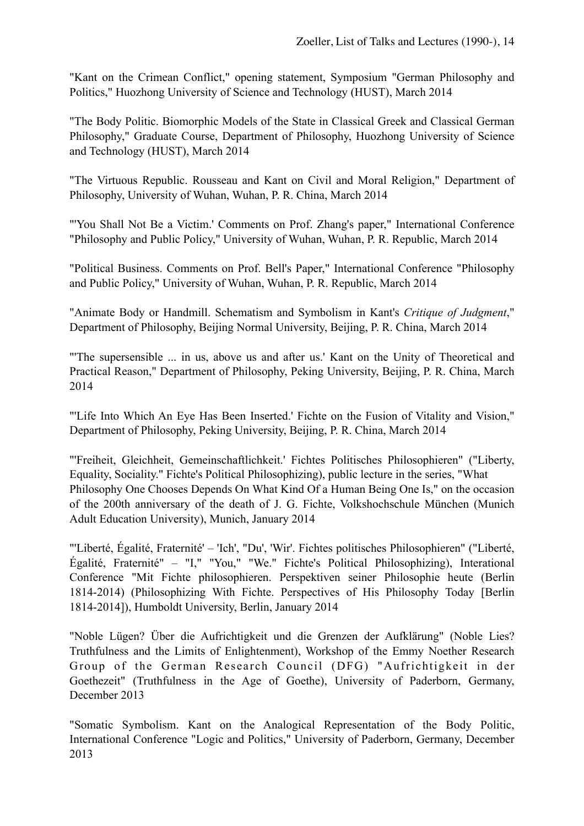"Kant on the Crimean Conflict," opening statement, Symposium "German Philosophy and Politics," Huozhong University of Science and Technology (HUST), March 2014

"The Body Politic. Biomorphic Models of the State in Classical Greek and Classical German Philosophy," Graduate Course, Department of Philosophy, Huozhong University of Science and Technology (HUST), March 2014

"The Virtuous Republic. Rousseau and Kant on Civil and Moral Religion," Department of Philosophy, University of Wuhan, Wuhan, P. R. China, March 2014

"'You Shall Not Be a Victim.' Comments on Prof. Zhang's paper," International Conference "Philosophy and Public Policy," University of Wuhan, Wuhan, P. R. Republic, March 2014

"Political Business. Comments on Prof. Bell's Paper," International Conference "Philosophy and Public Policy," University of Wuhan, Wuhan, P. R. Republic, March 2014

"Animate Body or Handmill. Schematism and Symbolism in Kant's *Critique of Judgment*," Department of Philosophy, Beijing Normal University, Beijing, P. R. China, March 2014

"'The supersensible ... in us, above us and after us.' Kant on the Unity of Theoretical and Practical Reason," Department of Philosophy, Peking University, Beijing, P. R. China, March 2014

"'Life Into Which An Eye Has Been Inserted.' Fichte on the Fusion of Vitality and Vision," Department of Philosophy, Peking University, Beijing, P. R. China, March 2014

"'Freiheit, Gleichheit, Gemeinschaftlichkeit.' Fichtes Politisches Philosophieren" ("Liberty, Equality, Sociality." Fichte's Political Philosophizing), public lecture in the series, "What Philosophy One Chooses Depends On What Kind Of a Human Being One Is," on the occasion of the 200th anniversary of the death of J. G. Fichte, Volkshochschule München (Munich Adult Education University), Munich, January 2014

"'Liberté, Égalité, Fraternité' – 'Ich', "Du', 'Wir'. Fichtes politisches Philosophieren" ("Liberté, Égalité, Fraternité" – "I," "You," "We." Fichte's Political Philosophizing), Interational Conference "Mit Fichte philosophieren. Perspektiven seiner Philosophie heute (Berlin 1814-2014) (Philosophizing With Fichte. Perspectives of His Philosophy Today [Berlin 1814-2014]), Humboldt University, Berlin, January 2014

"Noble Lügen? Über die Aufrichtigkeit und die Grenzen der Aufklärung" (Noble Lies? Truthfulness and the Limits of Enlightenment), Workshop of the Emmy Noether Research Group of the German Research Council (DFG) "Aufrichtigkeit in der Goethezeit" (Truthfulness in the Age of Goethe), University of Paderborn, Germany, December 2013

"Somatic Symbolism. Kant on the Analogical Representation of the Body Politic, International Conference "Logic and Politics," University of Paderborn, Germany, December 2013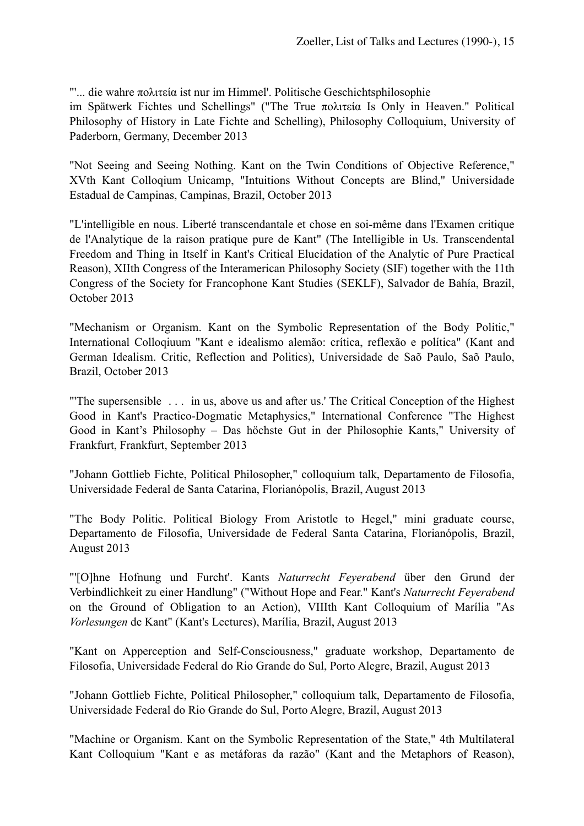"'... die wahre πολιτεία ist nur im Himmel'. Politische Geschichtsphilosophie

im Spätwerk Fichtes und Schellings" ("The True πολιτεία Is Only in Heaven." Political Philosophy of History in Late Fichte and Schelling), Philosophy Colloquium, University of Paderborn, Germany, December 2013

"Not Seeing and Seeing Nothing. Kant on the Twin Conditions of Objective Reference," XVth Kant Colloqium Unicamp, "Intuitions Without Concepts are Blind," Universidade Estadual de Campinas, Campinas, Brazil, October 2013

"L'intelligible en nous. Liberté transcendantale et chose en soi-même dans l'Examen critique de l'Analytique de la raison pratique pure de Kant" (The Intelligible in Us. Transcendental Freedom and Thing in Itself in Kant's Critical Elucidation of the Analytic of Pure Practical Reason), XIIth Congress of the Interamerican Philosophy Society (SIF) together with the 11th Congress of the Society for Francophone Kant Studies (SEKLF), Salvador de Bahía, Brazil, October 2013

"Mechanism or Organism. Kant on the Symbolic Representation of the Body Politic," International Colloqiuum "Kant e idealismo alemão: crítica, reflexão e política" (Kant and German Idealism. Critic, Reflection and Politics), Universidade de Saõ Paulo, Saõ Paulo, Brazil, October 2013

"'The supersensible . . . in us, above us and after us.' The Critical Conception of the Highest Good in Kant's Practico-Dogmatic Metaphysics," International Conference "The Highest Good in Kant's Philosophy – Das höchste Gut in der Philosophie Kants," University of Frankfurt, Frankfurt, September 2013

"Johann Gottlieb Fichte, Political Philosopher," colloquium talk, Departamento de Filosofia, Universidade Federal de Santa Catarina, Florianópolis, Brazil, August 2013

"The Body Politic. Political Biology From Aristotle to Hegel," mini graduate course, Departamento de Filosofia, Universidade de Federal Santa Catarina, Florianópolis, Brazil, August 2013

"'[O]hne Hofnung und Furcht'. Kants *Naturrecht Feyerabend* über den Grund der Verbindlichkeit zu einer Handlung" ("Without Hope and Fear." Kant's *Naturrecht Feyerabend* on the Ground of Obligation to an Action), VIIIth Kant Colloquium of Marília "As *Vorlesungen* de Kant" (Kant's Lectures), Marília, Brazil, August 2013

"Kant on Apperception and Self-Consciousness," graduate workshop, Departamento de Filosofia, Universidade Federal do Rio Grande do Sul, Porto Alegre, Brazil, August 2013

"Johann Gottlieb Fichte, Political Philosopher," colloquium talk, Departamento de Filosofia, Universidade Federal do Rio Grande do Sul, Porto Alegre, Brazil, August 2013

"Machine or Organism. Kant on the Symbolic Representation of the State," 4th Multilateral Kant Colloquium "Kant e as metáforas da razão" (Kant and the Metaphors of Reason),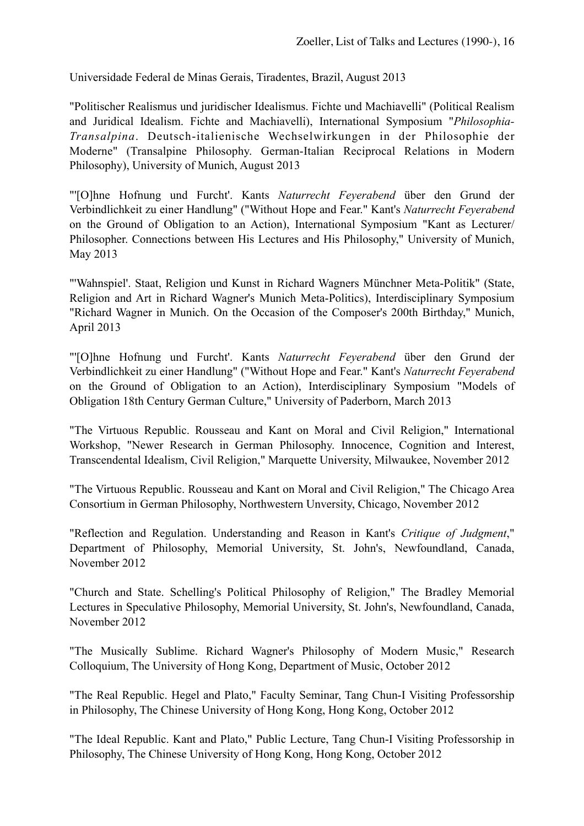Universidade Federal de Minas Gerais, Tiradentes, Brazil, August 2013

"Politischer Realismus und juridischer Idealismus. Fichte und Machiavelli" (Political Realism and Juridical Idealism. Fichte and Machiavelli), International Symposium "*Philosophia-Transalpina*. Deutsch-italienische Wechselwirkungen in der Philosophie der Moderne" (Transalpine Philosophy. German-Italian Reciprocal Relations in Modern Philosophy), University of Munich, August 2013

"'[O]hne Hofnung und Furcht'. Kants *Naturrecht Feyerabend* über den Grund der Verbindlichkeit zu einer Handlung" ("Without Hope and Fear." Kant's *Naturrecht Feyerabend* on the Ground of Obligation to an Action), International Symposium "Kant as Lecturer/ Philosopher. Connections between His Lectures and His Philosophy," University of Munich, May 2013

"'Wahnspiel'. Staat, Religion und Kunst in Richard Wagners Münchner Meta-Politik" (State, Religion and Art in Richard Wagner's Munich Meta-Politics), Interdisciplinary Symposium "Richard Wagner in Munich. On the Occasion of the Composer's 200th Birthday," Munich, April 2013

"'[O]hne Hofnung und Furcht'. Kants *Naturrecht Feyerabend* über den Grund der Verbindlichkeit zu einer Handlung" ("Without Hope and Fear." Kant's *Naturrecht Feyerabend* on the Ground of Obligation to an Action), Interdisciplinary Symposium "Models of Obligation 18th Century German Culture," University of Paderborn, March 2013

"The Virtuous Republic. Rousseau and Kant on Moral and Civil Religion," International Workshop, "Newer Research in German Philosophy. Innocence, Cognition and Interest, Transcendental Idealism, Civil Religion," Marquette University, Milwaukee, November 2012

"The Virtuous Republic. Rousseau and Kant on Moral and Civil Religion," The Chicago Area Consortium in German Philosophy, Northwestern Unversity, Chicago, November 2012

"Reflection and Regulation. Understanding and Reason in Kant's *Critique of Judgment*," Department of Philosophy, Memorial University, St. John's, Newfoundland, Canada, November 2012

"Church and State. Schelling's Political Philosophy of Religion," The Bradley Memorial Lectures in Speculative Philosophy, Memorial University, St. John's, Newfoundland, Canada, November 2012

"The Musically Sublime. Richard Wagner's Philosophy of Modern Music," Research Colloquium, The University of Hong Kong, Department of Music, October 2012

"The Real Republic. Hegel and Plato," Faculty Seminar, Tang Chun-I Visiting Professorship in Philosophy, The Chinese University of Hong Kong, Hong Kong, October 2012

"The Ideal Republic. Kant and Plato," Public Lecture, Tang Chun-I Visiting Professorship in Philosophy, The Chinese University of Hong Kong, Hong Kong, October 2012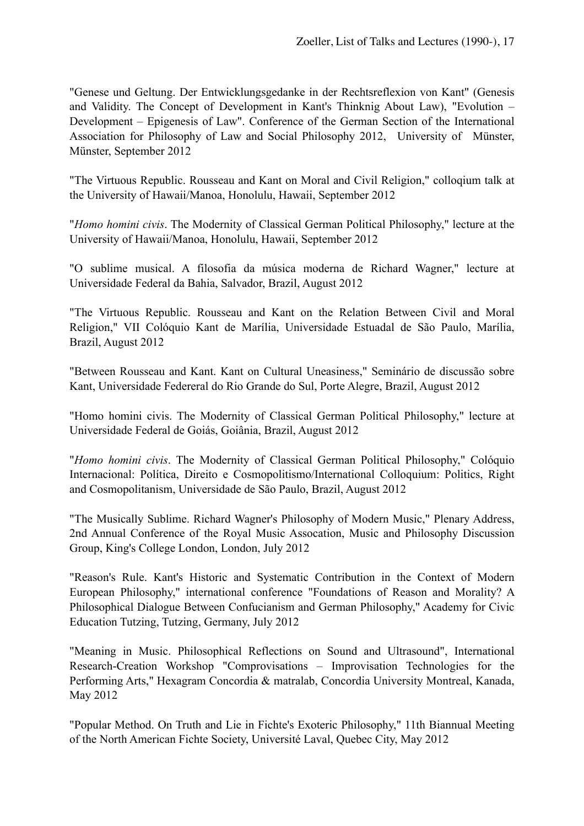"Genese und Geltung. Der Entwicklungsgedanke in der Rechtsreflexion von Kant" (Genesis and Validity. The Concept of Development in Kant's Thinknig About Law), "Evolution – Development – Epigenesis of Law". Conference of the German Section of the International Association for Philosophy of Law and Social Philosophy 2012, University of Münster, Münster, September 2012

"The Virtuous Republic. Rousseau and Kant on Moral and Civil Religion," colloqium talk at the University of Hawaii/Manoa, Honolulu, Hawaii, September 2012

"*Homo homini civis*. The Modernity of Classical German Political Philosophy," lecture at the University of Hawaii/Manoa, Honolulu, Hawaii, September 2012

"O sublime musical. A filosofia da música moderna de Richard Wagner," lecture at Universidade Federal da Bahia, Salvador, Brazil, August 2012

"The Virtuous Republic. Rousseau and Kant on the Relation Between Civil and Moral Religion," VII Colóquio Kant de Marília, Universidade Estuadal de São Paulo, Marília, Brazil, August 2012

"Between Rousseau and Kant. Kant on Cultural Uneasiness," Seminário de discussão sobre Kant, Universidade Federeral do Rio Grande do Sul, Porte Alegre, Brazil, August 2012

"Homo homini civis. The Modernity of Classical German Political Philosophy," lecture at Universidade Federal de Goiás, Goiânia, Brazil, August 2012

"*Homo homini civis*. The Modernity of Classical German Political Philosophy," Colóquio Internacional: Política, Direito e Cosmopolitismo/International Colloquium: Politics, Right and Cosmopolitanism, Universidade de São Paulo, Brazil, August 2012

"The Musically Sublime. Richard Wagner's Philosophy of Modern Music," Plenary Address, 2nd Annual Conference of the Royal Music Assocation, Music and Philosophy Discussion Group, King's College London, London, July 2012

"Reason's Rule. Kant's Historic and Systematic Contribution in the Context of Modern European Philosophy," international conference "Foundations of Reason and Morality? A Philosophical Dialogue Between Confucianism and German Philosophy," Academy for Civic Education Tutzing, Tutzing, Germany, July 2012

"Meaning in Music. Philosophical Reflections on Sound and Ultrasound", International Research-Creation Workshop "Comprovisations – Improvisation Technologies for the Performing Arts," Hexagram Concordia & matralab, Concordia University Montreal, Kanada, May 2012

"Popular Method. On Truth and Lie in Fichte's Exoteric Philosophy," 11th Biannual Meeting of the North American Fichte Society, Université Laval, Quebec City, May 2012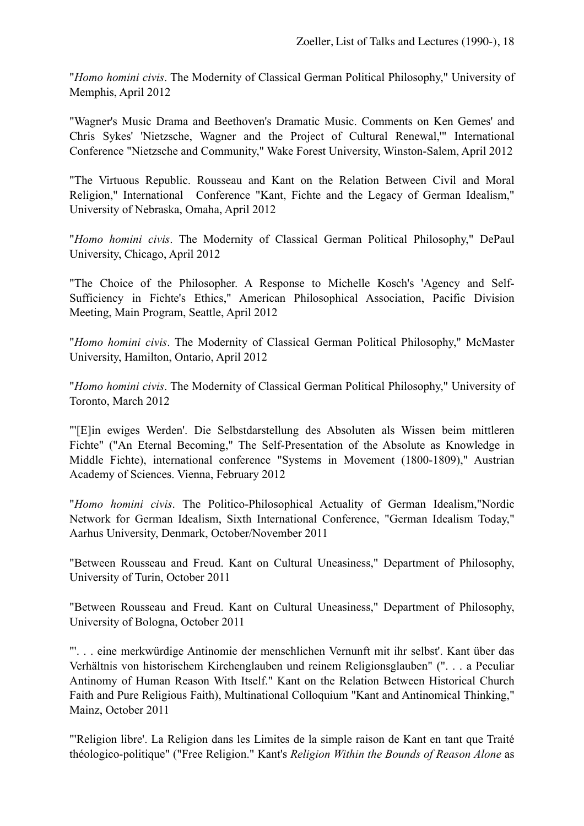"*Homo homini civis*. The Modernity of Classical German Political Philosophy," University of Memphis, April 2012

"Wagner's Music Drama and Beethoven's Dramatic Music. Comments on Ken Gemes' and Chris Sykes' 'Nietzsche, Wagner and the Project of Cultural Renewal,'" International Conference "Nietzsche and Community," Wake Forest University, Winston-Salem, April 2012

"The Virtuous Republic. Rousseau and Kant on the Relation Between Civil and Moral Religion," International Conference "Kant, Fichte and the Legacy of German Idealism," University of Nebraska, Omaha, April 2012

"*Homo homini civis*. The Modernity of Classical German Political Philosophy," DePaul University, Chicago, April 2012

"The Choice of the Philosopher. A Response to Michelle Kosch's 'Agency and Self-Sufficiency in Fichte's Ethics," American Philosophical Association, Pacific Division Meeting, Main Program, Seattle, April 2012

"*Homo homini civis*. The Modernity of Classical German Political Philosophy," McMaster University, Hamilton, Ontario, April 2012

"*Homo homini civis*. The Modernity of Classical German Political Philosophy," University of Toronto, March 2012

"'[E]in ewiges Werden'. Die Selbstdarstellung des Absoluten als Wissen beim mittleren Fichte" ("An Eternal Becoming," The Self-Presentation of the Absolute as Knowledge in Middle Fichte), international conference "Systems in Movement (1800-1809)," Austrian Academy of Sciences. Vienna, February 2012

"*Homo homini civis*. The Politico-Philosophical Actuality of German Idealism,"Nordic Network for German Idealism, Sixth International Conference, "German Idealism Today," Aarhus University, Denmark, October/November 2011

"Between Rousseau and Freud. Kant on Cultural Uneasiness," Department of Philosophy, University of Turin, October 2011

"Between Rousseau and Freud. Kant on Cultural Uneasiness," Department of Philosophy, University of Bologna, October 2011

"'. . . eine merkwürdige Antinomie der menschlichen Vernunft mit ihr selbst'. Kant über das Verhältnis von historischem Kirchenglauben und reinem Religionsglauben" (". . . a Peculiar Antinomy of Human Reason With Itself." Kant on the Relation Between Historical Church Faith and Pure Religious Faith), Multinational Colloquium "Kant and Antinomical Thinking," Mainz, October 2011

"'Religion libre'. La Religion dans les Limites de la simple raison de Kant en tant que Traité théologico-politique" ("Free Religion." Kant's *Religion Within the Bounds of Reason Alone* as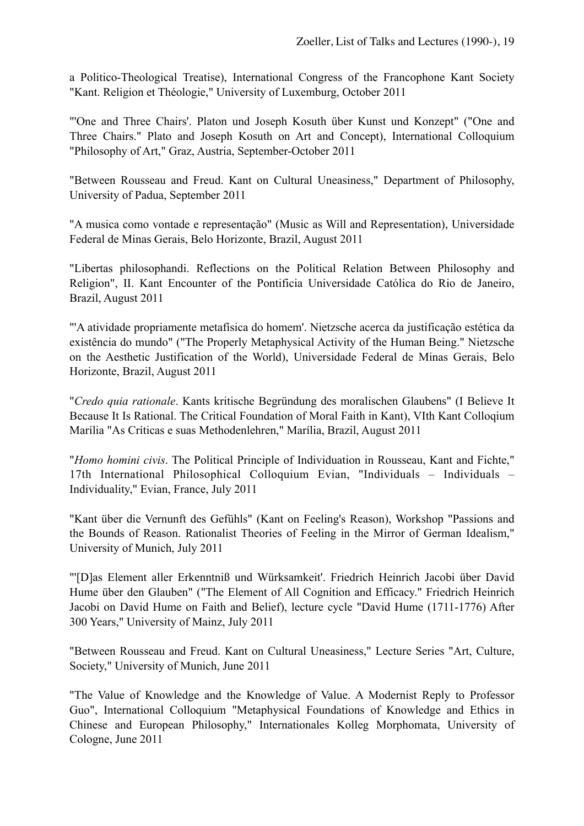a Politico-Theological Treatise), International Congress of the Francophone Kant Society "Kant. Religion et Théologie," University of Luxemburg, October 2011

"'One and Three Chairs'. Platon und Joseph Kosuth über Kunst und Konzept" ("One and Three Chairs." Plato and Joseph Kosuth on Art and Concept), International Colloquium "Philosophy of Art," Graz, Austria, September-October 2011

"Between Rousseau and Freud. Kant on Cultural Uneasiness," Department of Philosophy, University of Padua, September 2011

"A musica como vontade e representação" (Music as Will and Representation), Universidade Federal de Minas Gerais, Belo Horizonte, Brazil, August 2011

"Libertas philosophandi. Reflections on the Political Relation Between Philosophy and Religion", II. Kant Encounter of the Pontificia Universidade Católica do Rio de Janeiro, Brazil, August 2011

"'A atividade propriamente metafísica do homem'. Nietzsche acerca da justificação estética da existência do mundo" ("The Properly Metaphysical Activity of the Human Being." Nietzsche on the Aesthetic Justification of the World), Universidade Federal de Minas Gerais, Belo Horizonte, Brazil, August 2011

"*Credo quia rationale*. Kants kritische Begründung des moralischen Glaubens" (I Believe It Because It Is Rational. The Critical Foundation of Moral Faith in Kant), VIth Kant Colloqium Marília "As Críticas e suas Methodenlehren," Marília, Brazil, August 2011

"*Homo homini civis*. The Political Principle of Individuation in Rousseau, Kant and Fichte," 17th International Philosophical Colloquium Evian, "Individuals – Individuals – Individuality," Evian, France, July 2011

"Kant über die Vernunft des Gefühls" (Kant on Feeling's Reason), Workshop "Passions and the Bounds of Reason. Rationalist Theories of Feeling in the Mirror of German Idealism," University of Munich, July 2011

"'[D]as Element aller Erkenntniß und Würksamkeit'. Friedrich Heinrich Jacobi über David Hume über den Glauben" ("The Element of All Cognition and Efficacy." Friedrich Heinrich Jacobi on David Hume on Faith and Belief), lecture cycle "David Hume (1711-1776) After 300 Years," University of Mainz, July 2011

"Between Rousseau and Freud. Kant on Cultural Uneasiness," Lecture Series "Art, Culture, Society," University of Munich, June 2011

"The Value of Knowledge and the Knowledge of Value. A Modernist Reply to Professor Guo", International Colloquium "Metaphysical Foundations of Knowledge and Ethics in Chinese and European Philosophy," Internationales Kolleg Morphomata, University of Cologne, June 2011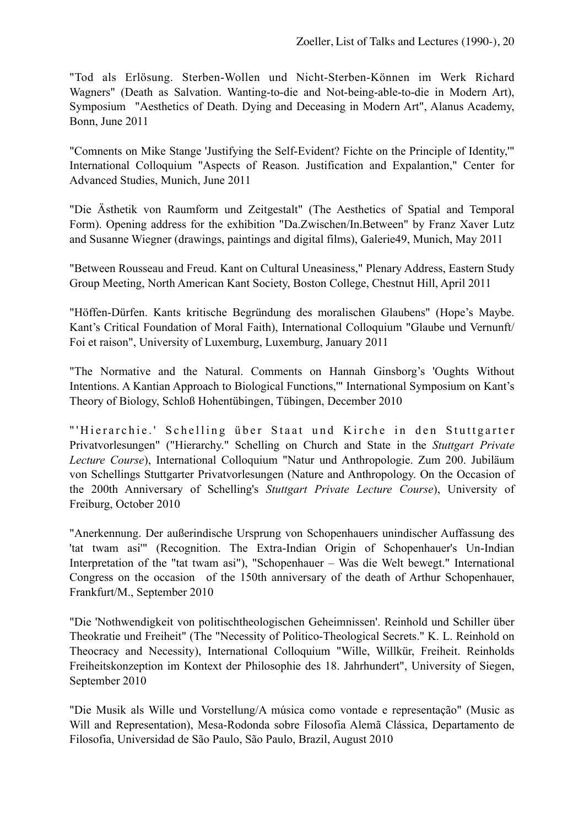"Tod als Erlösung. Sterben-Wollen und Nicht-Sterben-Können im Werk Richard Wagners" (Death as Salvation. Wanting-to-die and Not-being-able-to-die in Modern Art), Symposium "Aesthetics of Death. Dying and Deceasing in Modern Art", Alanus Academy, Bonn, June 2011

"Comnents on Mike Stange 'Justifying the Self-Evident? Fichte on the Principle of Identity,'" International Colloquium "Aspects of Reason. Justification and Expalantion," Center for Advanced Studies, Munich, June 2011

"Die Ästhetik von Raumform und Zeitgestalt" (The Aesthetics of Spatial and Temporal Form). Opening address for the exhibition "Da.Zwischen/In.Between" by Franz Xaver Lutz and Susanne Wiegner (drawings, paintings and digital films), Galerie49, Munich, May 2011

"Between Rousseau and Freud. Kant on Cultural Uneasiness," Plenary Address, Eastern Study Group Meeting, North American Kant Society, Boston College, Chestnut Hill, April 2011

"Höffen-Dürfen. Kants kritische Begründung des moralischen Glaubens" (Hope's Maybe. Kant's Critical Foundation of Moral Faith), International Colloquium "Glaube und Vernunft/ Foi et raison", University of Luxemburg, Luxemburg, January 2011

"The Normative and the Natural. Comments on Hannah Ginsborg's 'Oughts Without Intentions. A Kantian Approach to Biological Functions,'" International Symposium on Kant's Theory of Biology, Schloß Hohentübingen, Tübingen, December 2010

"'Hierarchie.' Schelling über Staat und Kirche in den Stuttgarter Privatvorlesungen" ("Hierarchy." Schelling on Church and State in the *Stuttgart Private Lecture Course*), International Colloquium "Natur und Anthropologie. Zum 200. Jubiläum von Schellings Stuttgarter Privatvorlesungen (Nature and Anthropology. On the Occasion of the 200th Anniversary of Schelling's *Stuttgart Private Lecture Course*), University of Freiburg, October 2010

"Anerkennung. Der außerindische Ursprung von Schopenhauers unindischer Auffassung des 'tat twam asi'" (Recognition. The Extra-Indian Origin of Schopenhauer's Un-Indian Interpretation of the "tat twam asi"), "Schopenhauer – Was die Welt bewegt." International Congress on the occasion of the 150th anniversary of the death of Arthur Schopenhauer, Frankfurt/M., September 2010

"Die 'Nothwendigkeit von politischtheologischen Geheimnissen'. Reinhold und Schiller über Theokratie und Freiheit" (The "Necessity of Politico-Theological Secrets." K. L. Reinhold on Theocracy and Necessity), International Colloquium "Wille, Willkür, Freiheit. Reinholds Freiheitskonzeption im Kontext der Philosophie des 18. Jahrhundert", University of Siegen, September 2010

"Die Musik als Wille und Vorstellung/A música como vontade e representação" (Music as Will and Representation), Mesa-Rodonda sobre Filosofia Alemã Clássica, Departamento de Filosofia, Universidad de São Paulo, São Paulo, Brazil, August 2010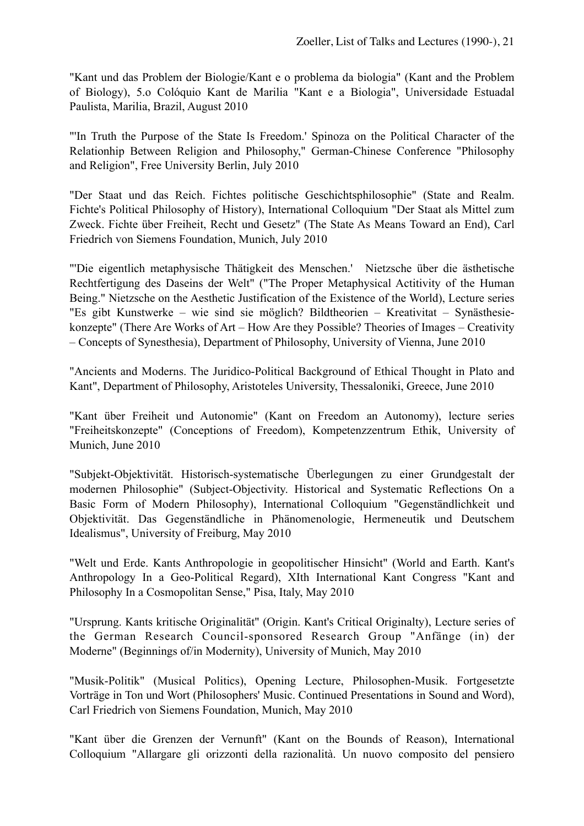"Kant und das Problem der Biologie/Kant e o problema da biologia" (Kant and the Problem of Biology), 5.o Colόquio Kant de Marilia "Kant e a Biologia", Universidade Estuadal Paulista, Marilia, Brazil, August 2010

"'In Truth the Purpose of the State Is Freedom.' Spinoza on the Political Character of the Relationhip Between Religion and Philosophy," German-Chinese Conference "Philosophy and Religion", Free University Berlin, July 2010

"Der Staat und das Reich. Fichtes politische Geschichtsphilosophie" (State and Realm. Fichte's Political Philosophy of History), International Colloquium "Der Staat als Mittel zum Zweck. Fichte über Freiheit, Recht und Gesetz" (The State As Means Toward an End), Carl Friedrich von Siemens Foundation, Munich, July 2010

"'Die eigentlich metaphysische Thätigkeit des Menschen.' Nietzsche über die ästhetische Rechtfertigung des Daseins der Welt" ("The Proper Metaphysical Actitivity of the Human Being." Nietzsche on the Aesthetic Justification of the Existence of the World), Lecture series "Es gibt Kunstwerke – wie sind sie möglich? Bildtheorien – Kreativitat – Synästhesiekonzepte" (There Are Works of Art – How Are they Possible? Theories of Images – Creativity – Concepts of Synesthesia), Department of Philosophy, University of Vienna, June 2010

"Ancients and Moderns. The Juridico-Political Background of Ethical Thought in Plato and Kant", Department of Philosophy, Aristoteles University, Thessaloniki, Greece, June 2010

"Kant über Freiheit und Autonomie" (Kant on Freedom an Autonomy), lecture series "Freiheitskonzepte" (Conceptions of Freedom), Kompetenzzentrum Ethik, University of Munich, June 2010

"Subjekt-Objektivität. Historisch-systematische Überlegungen zu einer Grundgestalt der modernen Philosophie" (Subject-Objectivity. Historical and Systematic Reflections On a Basic Form of Modern Philosophy), International Colloquium "Gegenständlichkeit und Objektivität. Das Gegenständliche in Phänomenologie, Hermeneutik und Deutschem Idealismus", University of Freiburg, May 2010

"Welt und Erde. Kants Anthropologie in geopolitischer Hinsicht" (World and Earth. Kant's Anthropology In a Geo-Political Regard), XIth International Kant Congress "Kant and Philosophy In a Cosmopolitan Sense," Pisa, Italy, May 2010

"Ursprung. Kants kritische Originalität" (Origin. Kant's Critical Originalty), Lecture series of the German Research Council-sponsored Research Group "Anfänge (in) der Moderne" (Beginnings of/in Modernity), University of Munich, May 2010

"Musik-Politik" (Musical Politics), Opening Lecture, Philosophen-Musik. Fortgesetzte Vorträge in Ton und Wort (Philosophers' Music. Continued Presentations in Sound and Word), Carl Friedrich von Siemens Foundation, Munich, May 2010

"Kant über die Grenzen der Vernunft" (Kant on the Bounds of Reason), International Colloquium "Allargare gli orizzonti della razionalità. Un nuovo composito del pensiero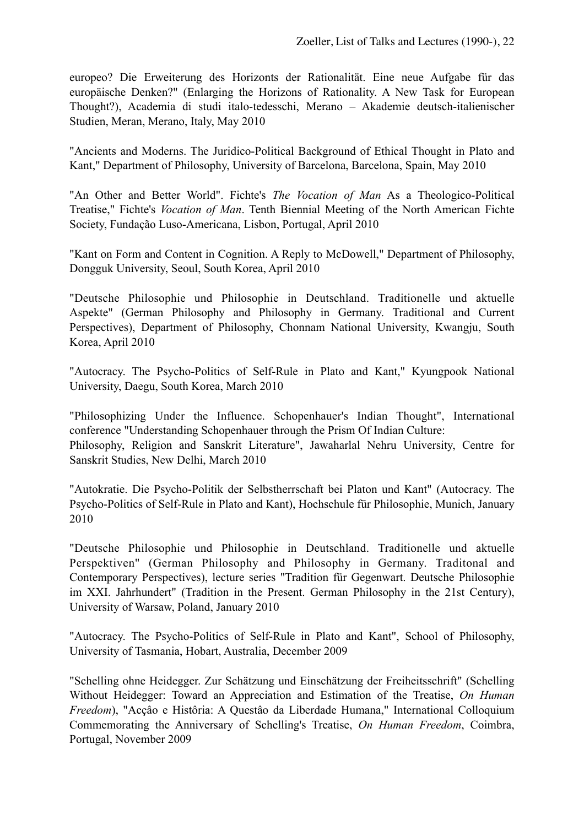europeo? Die Erweiterung des Horizonts der Rationalität. Eine neue Aufgabe für das europäische Denken?" (Enlarging the Horizons of Rationality. A New Task for European Thought?), Academia di studi italo-tedesschi, Merano – Akademie deutsch-italienischer Studien, Meran, Merano, Italy, May 2010

"Ancients and Moderns. The Juridico-Political Background of Ethical Thought in Plato and Kant," Department of Philosophy, University of Barcelona, Barcelona, Spain, May 2010

"An Other and Better World". Fichte's *The Vocation of Man* As a Theologico-Political Treatise," Fichte's *Vocation of Man*. Tenth Biennial Meeting of the North American Fichte Society, Fundação Luso-Americana, Lisbon, Portugal, April 2010

"Kant on Form and Content in Cognition. A Reply to McDowell," Department of Philosophy, Dongguk University, Seoul, South Korea, April 2010

"Deutsche Philosophie und Philosophie in Deutschland. Traditionelle und aktuelle Aspekte" (German Philosophy and Philosophy in Germany. Traditional and Current Perspectives), Department of Philosophy, Chonnam National University, Kwangju, South Korea, April 2010

"Autocracy. The Psycho-Politics of Self-Rule in Plato and Kant," Kyungpook National University, Daegu, South Korea, March 2010

"Philosophizing Under the Influence. Schopenhauer's Indian Thought", International conference "Understanding Schopenhauer through the Prism Of Indian Culture: Philosophy, Religion and Sanskrit Literature", Jawaharlal Nehru University, Centre for Sanskrit Studies, New Delhi, March 2010

"Autokratie. Die Psycho-Politik der Selbstherrschaft bei Platon und Kant" (Autocracy. The Psycho-Politics of Self-Rule in Plato and Kant), Hochschule für Philosophie, Munich, January 2010

"Deutsche Philosophie und Philosophie in Deutschland. Traditionelle und aktuelle Perspektiven" (German Philosophy and Philosophy in Germany. Traditonal and Contemporary Perspectives), lecture series "Tradition für Gegenwart. Deutsche Philosophie im XXI. Jahrhundert" (Tradition in the Present. German Philosophy in the 21st Century), University of Warsaw, Poland, January 2010

"Autocracy. The Psycho-Politics of Self-Rule in Plato and Kant", School of Philosophy, University of Tasmania, Hobart, Australia, December 2009

"Schelling ohne Heidegger. Zur Schätzung und Einschätzung der Freiheitsschrift" (Schelling Without Heidegger: Toward an Appreciation and Estimation of the Treatise, *On Human Freedom*), "Acçâo e Histôria: A Questâo da Liberdade Humana," International Colloquium Commemorating the Anniversary of Schelling's Treatise, *On Human Freedom*, Coimbra, Portugal, November 2009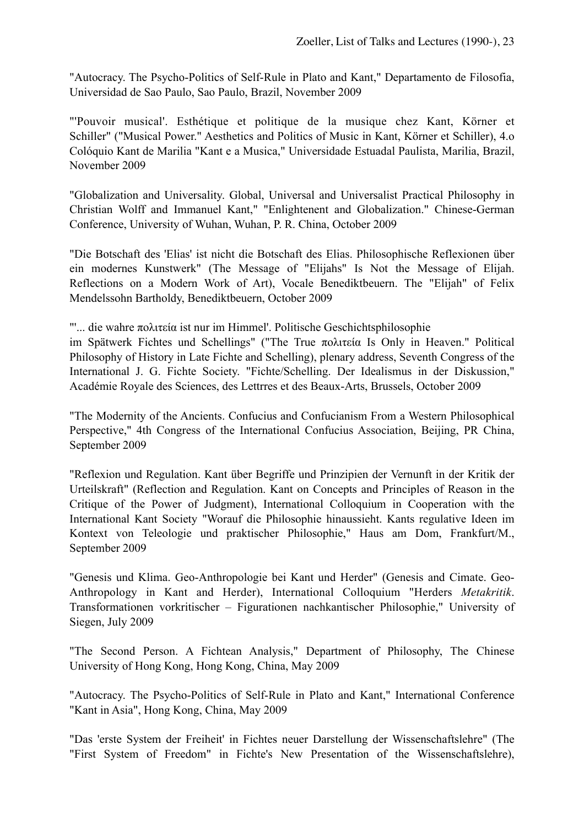"Autocracy. The Psycho-Politics of Self-Rule in Plato and Kant," Departamento de Filosofia, Universidad de Sao Paulo, Sao Paulo, Brazil, November 2009

"'Pouvoir musical'. Esthétique et politique de la musique chez Kant, Körner et Schiller" ("Musical Power." Aesthetics and Politics of Music in Kant, Körner et Schiller), 4.o Colόquio Kant de Marilia "Kant e a Musica," Universidade Estuadal Paulista, Marilia, Brazil, November 2009

"Globalization and Universality. Global, Universal and Universalist Practical Philosophy in Christian Wolff and Immanuel Kant," "Enlightenent and Globalization." Chinese-German Conference, University of Wuhan, Wuhan, P. R. China, October 2009

"Die Botschaft des 'Elias' ist nicht die Botschaft des Elias. Philosophische Reflexionen über ein modernes Kunstwerk" (The Message of "Elijahs" Is Not the Message of Elijah. Reflections on a Modern Work of Art), Vocale Benediktbeuern. The "Elijah" of Felix Mendelssohn Bartholdy, Benediktbeuern, October 2009

"'... die wahre πολιτεία ist nur im Himmel'. Politische Geschichtsphilosophie

im Spätwerk Fichtes und Schellings" ("The True πολιτεία Is Only in Heaven." Political Philosophy of History in Late Fichte and Schelling), plenary address, Seventh Congress of the International J. G. Fichte Society. "Fichte/Schelling. Der Idealismus in der Diskussion," Académie Royale des Sciences, des Lettrres et des Beaux-Arts, Brussels, October 2009

"The Modernity of the Ancients. Confucius and Confucianism From a Western Philosophical Perspective," 4th Congress of the International Confucius Association, Beijing, PR China, September 2009

"Reflexion und Regulation. Kant über Begriffe und Prinzipien der Vernunft in der Kritik der Urteilskraft" (Reflection and Regulation. Kant on Concepts and Principles of Reason in the Critique of the Power of Judgment), International Colloquium in Cooperation with the International Kant Society "Worauf die Philosophie hinaussieht. Kants regulative Ideen im Kontext von Teleologie und praktischer Philosophie," Haus am Dom, Frankfurt/M., September 2009

"Genesis und Klima. Geo-Anthropologie bei Kant und Herder" (Genesis and Cimate. Geo-Anthropology in Kant and Herder), International Colloquium "Herders *Metakritik*. Transformationen vorkritischer – Figurationen nachkantischer Philosophie," University of Siegen, July 2009

"The Second Person. A Fichtean Analysis," Department of Philosophy, The Chinese University of Hong Kong, Hong Kong, China, May 2009

"Autocracy. The Psycho-Politics of Self-Rule in Plato and Kant," International Conference "Kant in Asia", Hong Kong, China, May 2009

"Das 'erste System der Freiheit' in Fichtes neuer Darstellung der Wissenschaftslehre" (The "First System of Freedom" in Fichte's New Presentation of the Wissenschaftslehre),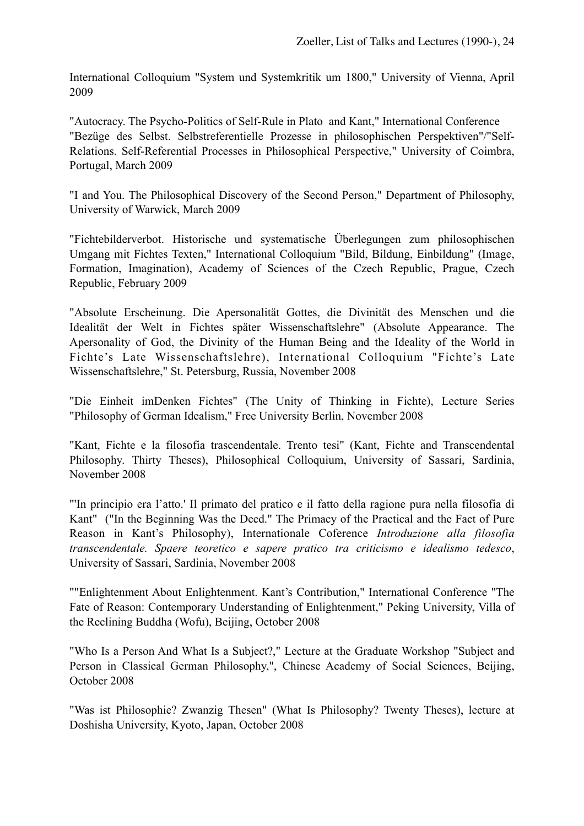International Colloquium "System und Systemkritik um 1800," University of Vienna, April 2009

"Autocracy. The Psycho-Politics of Self-Rule in Plato and Kant," International Conference "Bezüge des Selbst. Selbstreferentielle Prozesse in philosophischen Perspektiven"/"Self-Relations. Self-Referential Processes in Philosophical Perspective," University of Coimbra, Portugal, March 2009

"I and You. The Philosophical Discovery of the Second Person," Department of Philosophy, University of Warwick, March 2009

"Fichtebilderverbot. Historische und systematische Überlegungen zum philosophischen Umgang mit Fichtes Texten," International Colloquium "Bild, Bildung, Einbildung" (Image, Formation, Imagination), Academy of Sciences of the Czech Republic, Prague, Czech Republic, February 2009

"Absolute Erscheinung. Die Apersonalität Gottes, die Divinität des Menschen und die Idealität der Welt in Fichtes später Wissenschaftslehre" (Absolute Appearance. The Apersonality of God, the Divinity of the Human Being and the Ideality of the World in Fichte's Late Wissenschaftslehre), International Colloquium "Fichte's Late Wissenschaftslehre," St. Petersburg, Russia, November 2008

"Die Einheit imDenken Fichtes" (The Unity of Thinking in Fichte), Lecture Series "Philosophy of German Idealism," Free University Berlin, November 2008

"Kant, Fichte e la filosofia trascendentale. Trento tesi" (Kant, Fichte and Transcendental Philosophy. Thirty Theses), Philosophical Colloquium, University of Sassari, Sardinia, November 2008

"'In principio era l'atto.' Il primato del pratico e il fatto della ragione pura nella filosofia di Kant" ("In the Beginning Was the Deed." The Primacy of the Practical and the Fact of Pure Reason in Kant's Philosophy), Internationale Coference *Introduzione alla filosofia transcendentale. Spaere teoretico e sapere pratico tra criticismo e idealismo tedesco*, University of Sassari, Sardinia, November 2008

""Enlightenment About Enlightenment. Kant's Contribution," International Conference "The Fate of Reason: Contemporary Understanding of Enlightenment," Peking University, Villa of the Reclining Buddha (Wofu), Beijing, October 2008

"Who Is a Person And What Is a Subject?," Lecture at the Graduate Workshop "Subject and Person in Classical German Philosophy,", Chinese Academy of Social Sciences, Beijing, October 2008

"Was ist Philosophie? Zwanzig Thesen" (What Is Philosophy? Twenty Theses), lecture at Doshisha University, Kyoto, Japan, October 2008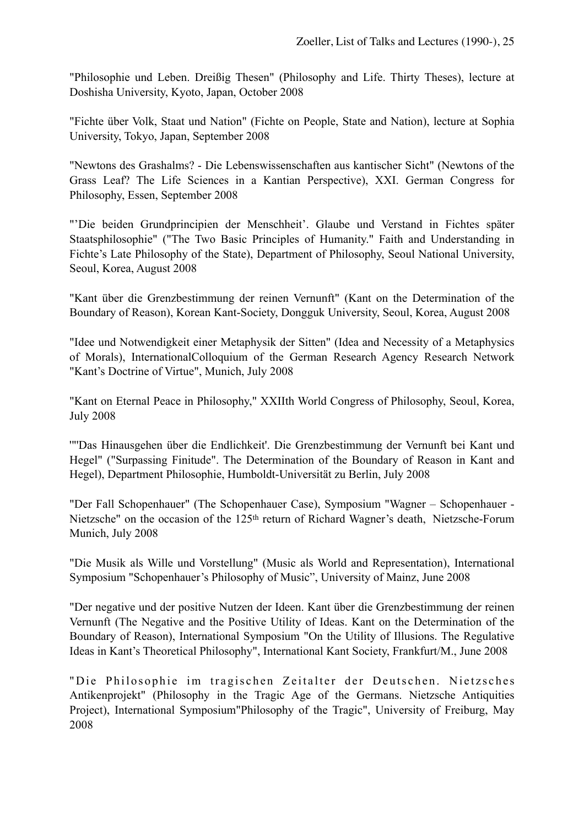"Philosophie und Leben. Dreißig Thesen" (Philosophy and Life. Thirty Theses), lecture at Doshisha University, Kyoto, Japan, October 2008

"Fichte über Volk, Staat und Nation" (Fichte on People, State and Nation), lecture at Sophia University, Tokyo, Japan, September 2008

"Newtons des Grashalms? - Die Lebenswissenschaften aus kantischer Sicht" (Newtons of the Grass Leaf? The Life Sciences in a Kantian Perspective), XXI. German Congress for Philosophy, Essen, September 2008

"'Die beiden Grundprincipien der Menschheit'. Glaube und Verstand in Fichtes später Staatsphilosophie" ("The Two Basic Principles of Humanity." Faith and Understanding in Fichte's Late Philosophy of the State), Department of Philosophy, Seoul National University, Seoul, Korea, August 2008

"Kant über die Grenzbestimmung der reinen Vernunft" (Kant on the Determination of the Boundary of Reason), Korean Kant-Society, Dongguk University, Seoul, Korea, August 2008

"Idee und Notwendigkeit einer Metaphysik der Sitten" (Idea and Necessity of a Metaphysics of Morals), InternationalColloquium of the German Research Agency Research Network "Kant's Doctrine of Virtue", Munich, July 2008

"Kant on Eternal Peace in Philosophy," XXIIth World Congress of Philosophy, Seoul, Korea, July 2008

'"'Das Hinausgehen über die Endlichkeit'. Die Grenzbestimmung der Vernunft bei Kant und Hegel" ("Surpassing Finitude". The Determination of the Boundary of Reason in Kant and Hegel), Department Philosophie, Humboldt-Universität zu Berlin, July 2008

"Der Fall Schopenhauer" (The Schopenhauer Case), Symposium "Wagner – Schopenhauer - Nietzsche" on the occasion of the 125th return of Richard Wagner's death, Nietzsche-Forum Munich, July 2008

"Die Musik als Wille und Vorstellung" (Music als World and Representation), International Symposium "Schopenhauer's Philosophy of Music", University of Mainz, June 2008

"Der negative und der positive Nutzen der Ideen. Kant über die Grenzbestimmung der reinen Vernunft (The Negative and the Positive Utility of Ideas. Kant on the Determination of the Boundary of Reason), International Symposium "On the Utility of Illusions. The Regulative Ideas in Kant's Theoretical Philosophy", International Kant Society, Frankfurt/M., June 2008

"Die Philosophie im tragischen Zeitalter der Deutschen. Nietzsches Antikenprojekt" (Philosophy in the Tragic Age of the Germans. Nietzsche Antiquities Project), International Symposium"Philosophy of the Tragic", University of Freiburg, May 2008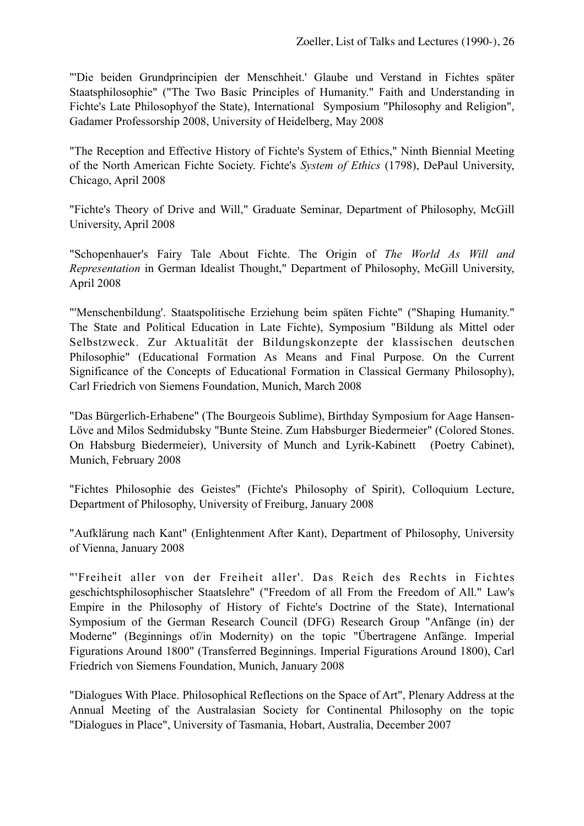"'Die beiden Grundprincipien der Menschheit.' Glaube und Verstand in Fichtes später Staatsphilosophie" ("The Two Basic Principles of Humanity." Faith and Understanding in Fichte's Late Philosophyof the State), International Symposium "Philosophy and Religion", Gadamer Professorship 2008, University of Heidelberg, May 2008

"The Reception and Effective History of Fichte's System of Ethics," Ninth Biennial Meeting of the North American Fichte Society. Fichte's *System of Ethics* (1798), DePaul University, Chicago, April 2008

"Fichte's Theory of Drive and Will," Graduate Seminar, Department of Philosophy, McGill University, April 2008

"Schopenhauer's Fairy Tale About Fichte. The Origin of *The World As Will and Representation* in German Idealist Thought," Department of Philosophy, McGill University, April 2008

"'Menschenbildung'. Staatspolitische Erziehung beim späten Fichte" ("Shaping Humanity." The State and Political Education in Late Fichte), Symposium "Bildung als Mittel oder Selbstzweck. Zur Aktualität der Bildungskonzepte der klassischen deutschen Philosophie" (Educational Formation As Means and Final Purpose. On the Current Significance of the Concepts of Educational Formation in Classical Germany Philosophy), Carl Friedrich von Siemens Foundation, Munich, March 2008

"Das Bürgerlich-Erhabene" (The Bourgeois Sublime), Birthday Symposium for Aage Hansen-Löve and Milos Sedmidubsky "Bunte Steine. Zum Habsburger Biedermeier" (Colored Stones. On Habsburg Biedermeier), University of Munch and Lyrik-Kabinett (Poetry Cabinet), Munich, February 2008

"Fichtes Philosophie des Geistes" (Fichte's Philosophy of Spirit), Colloquium Lecture, Department of Philosophy, University of Freiburg, January 2008

"Aufklärung nach Kant" (Enlightenment After Kant), Department of Philosophy, University of Vienna, January 2008

"'Freiheit aller von der Freiheit aller'. Das Reich des Rechts in Fichtes geschichtsphilosophischer Staatslehre" ("Freedom of all From the Freedom of All." Law's Empire in the Philosophy of History of Fichte's Doctrine of the State), International Symposium of the German Research Council (DFG) Research Group "Anfänge (in) der Moderne" (Beginnings of/in Modernity) on the topic "Übertragene Anfänge. Imperial Figurations Around 1800" (Transferred Beginnings. Imperial Figurations Around 1800), Carl Friedrich von Siemens Foundation, Munich, January 2008

"Dialogues With Place. Philosophical Reflections on the Space of Art", Plenary Address at the Annual Meeting of the Australasian Society for Continental Philosophy on the topic "Dialogues in Place", University of Tasmania, Hobart, Australia, December 2007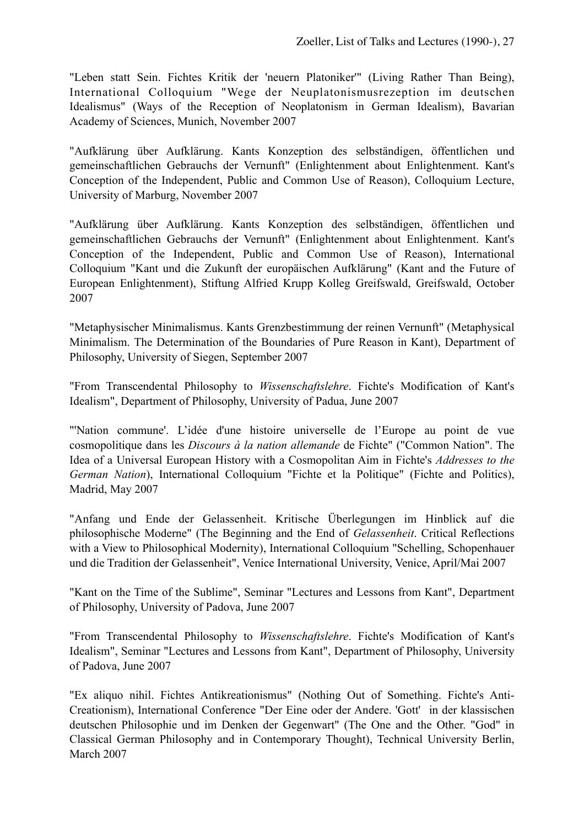"Leben statt Sein. Fichtes Kritik der 'neuern Platoniker'" (Living Rather Than Being), International Colloquium "Wege der Neuplatonismusrezeption im deutschen Idealismus" (Ways of the Reception of Neoplatonism in German Idealism), Bavarian Academy of Sciences, Munich, November 2007

"Aufklärung über Aufklärung. Kants Konzeption des selbständigen, öffentlichen und gemeinschaftlichen Gebrauchs der Vernunft" (Enlightenment about Enlightenment. Kant's Conception of the Independent, Public and Common Use of Reason), Colloquium Lecture, University of Marburg, November 2007

"Aufklärung über Aufklärung. Kants Konzeption des selbständigen, öffentlichen und gemeinschaftlichen Gebrauchs der Vernunft" (Enlightenment about Enlightenment. Kant's Conception of the Independent, Public and Common Use of Reason), International Colloquium "Kant und die Zukunft der europäischen Aufklärung" (Kant and the Future of European Enlightenment), Stiftung Alfried Krupp Kolleg Greifswald, Greifswald, October 2007

"Metaphysischer Minimalismus. Kants Grenzbestimmung der reinen Vernunft" (Metaphysical Minimalism. The Determination of the Boundaries of Pure Reason in Kant), Department of Philosophy, University of Siegen, September 2007

"From Transcendental Philosophy to *Wissenschaftslehre*. Fichte's Modification of Kant's Idealism", Department of Philosophy, University of Padua, June 2007

"Nation commune'. L'idée d'une histoire universelle de l'Europe au point de vue cosmopolitique dans les *Discours à la nation allemande* de Fichte" ("Common Nation". The Idea of a Universal European History with a Cosmopolitan Aim in Fichte's *Addresses to the German Nation*), International Colloquium "Fichte et la Politique" (Fichte and Politics), Madrid, May 2007

"Anfang und Ende der Gelassenheit. Kritische Überlegungen im Hinblick auf die philosophische Moderne" (The Beginning and the End of *Gelassenheit*. Critical Reflections with a View to Philosophical Modernity), International Colloquium "Schelling, Schopenhauer und die Tradition der Gelassenheit", Venice International University, Venice, April/Mai 2007

"Kant on the Time of the Sublime", Seminar "Lectures and Lessons from Kant", Department of Philosophy, University of Padova, June 2007

"From Transcendental Philosophy to *Wissenschaftslehre*. Fichte's Modification of Kant's Idealism", Seminar "Lectures and Lessons from Kant", Department of Philosophy, University of Padova, June 2007

"Ex aliquo nihil. Fichtes Antikreationismus" (Nothing Out of Something. Fichte's Anti-Creationism), International Conference "Der Eine oder der Andere. 'Gott' in der klassischen deutschen Philosophie und im Denken der Gegenwart" (The One and the Other. "God" in Classical German Philosophy and in Contemporary Thought), Technical University Berlin, March 2007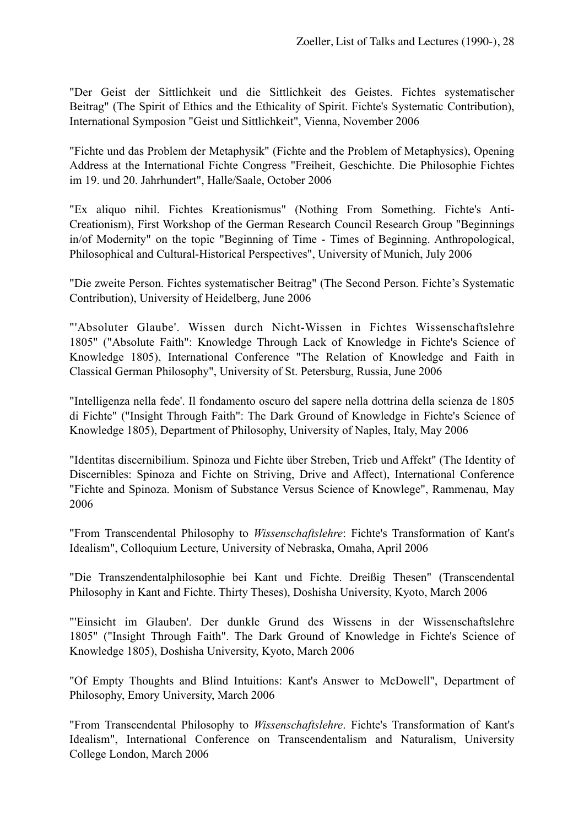"Der Geist der Sittlichkeit und die Sittlichkeit des Geistes. Fichtes systematischer Beitrag" (The Spirit of Ethics and the Ethicality of Spirit. Fichte's Systematic Contribution), International Symposion "Geist und Sittlichkeit", Vienna, November 2006

"Fichte und das Problem der Metaphysik" (Fichte and the Problem of Metaphysics), Opening Address at the International Fichte Congress "Freiheit, Geschichte. Die Philosophie Fichtes im 19. und 20. Jahrhundert", Halle/Saale, October 2006

"Ex aliquo nihil. Fichtes Kreationismus" (Nothing From Something. Fichte's Anti-Creationism), First Workshop of the German Research Council Research Group "Beginnings in/of Modernity" on the topic "Beginning of Time - Times of Beginning. Anthropological, Philosophical and Cultural-Historical Perspectives", University of Munich, July 2006

"Die zweite Person. Fichtes systematischer Beitrag" (The Second Person. Fichte's Systematic Contribution), University of Heidelberg, June 2006

"'Absoluter Glaube'. Wissen durch Nicht-Wissen in Fichtes Wissenschaftslehre 1805" ("Absolute Faith": Knowledge Through Lack of Knowledge in Fichte's Science of Knowledge 1805), International Conference "The Relation of Knowledge and Faith in Classical German Philosophy", University of St. Petersburg, Russia, June 2006

"Intelligenza nella fede'. Il fondamento oscuro del sapere nella dottrina della scienza de 1805 di Fichte" ("Insight Through Faith": The Dark Ground of Knowledge in Fichte's Science of Knowledge 1805), Department of Philosophy, University of Naples, Italy, May 2006

"Identitas discernibilium. Spinoza und Fichte über Streben, Trieb und Affekt" (The Identity of Discernibles: Spinoza and Fichte on Striving, Drive and Affect), International Conference "Fichte and Spinoza. Monism of Substance Versus Science of Knowlege", Rammenau, May 2006

"From Transcendental Philosophy to *Wissenschaftslehre*: Fichte's Transformation of Kant's Idealism", Colloquium Lecture, University of Nebraska, Omaha, April 2006

"Die Transzendentalphilosophie bei Kant und Fichte. Dreißig Thesen" (Transcendental Philosophy in Kant and Fichte. Thirty Theses), Doshisha University, Kyoto, March 2006

"'Einsicht im Glauben'. Der dunkle Grund des Wissens in der Wissenschaftslehre 1805" ("Insight Through Faith". The Dark Ground of Knowledge in Fichte's Science of Knowledge 1805), Doshisha University, Kyoto, March 2006

"Of Empty Thoughts and Blind Intuitions: Kant's Answer to McDowell", Department of Philosophy, Emory University, March 2006

"From Transcendental Philosophy to *Wissenschaftslehre*. Fichte's Transformation of Kant's Idealism", International Conference on Transcendentalism and Naturalism, University College London, March 2006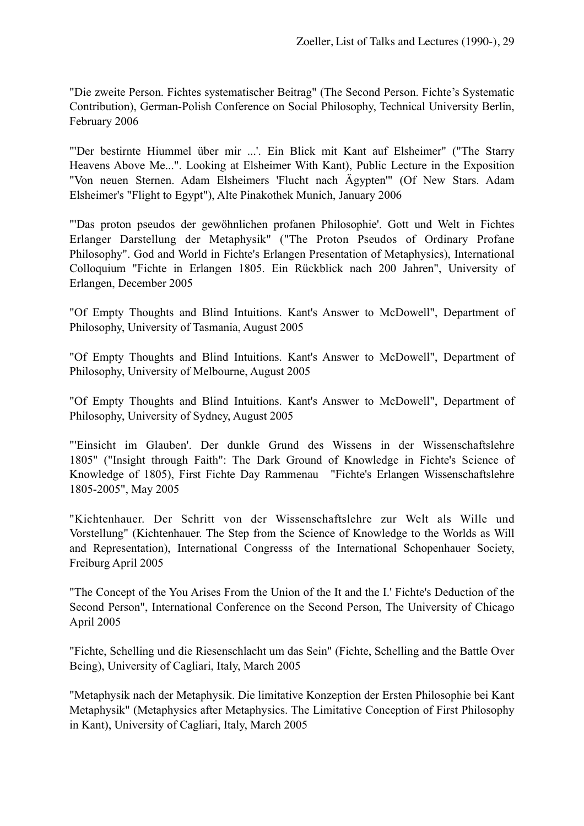"Die zweite Person. Fichtes systematischer Beitrag" (The Second Person. Fichte's Systematic Contribution), German-Polish Conference on Social Philosophy, Technical University Berlin, February 2006

"'Der bestirnte Hiummel über mir ...'. Ein Blick mit Kant auf Elsheimer" ("The Starry Heavens Above Me...". Looking at Elsheimer With Kant), Public Lecture in the Exposition "Von neuen Sternen. Adam Elsheimers 'Flucht nach Ägypten'" (Of New Stars. Adam Elsheimer's "Flight to Egypt"), Alte Pinakothek Munich, January 2006

"'Das proton pseudos der gewöhnlichen profanen Philosophie'. Gott und Welt in Fichtes Erlanger Darstellung der Metaphysik" ("The Proton Pseudos of Ordinary Profane Philosophy". God and World in Fichte's Erlangen Presentation of Metaphysics), International Colloquium "Fichte in Erlangen 1805. Ein Rückblick nach 200 Jahren", University of Erlangen, December 2005

"Of Empty Thoughts and Blind Intuitions. Kant's Answer to McDowell", Department of Philosophy, University of Tasmania, August 2005

"Of Empty Thoughts and Blind Intuitions. Kant's Answer to McDowell", Department of Philosophy, University of Melbourne, August 2005

"Of Empty Thoughts and Blind Intuitions. Kant's Answer to McDowell", Department of Philosophy, University of Sydney, August 2005

"'Einsicht im Glauben'. Der dunkle Grund des Wissens in der Wissenschaftslehre 1805" ("Insight through Faith": The Dark Ground of Knowledge in Fichte's Science of Knowledge of 1805), First Fichte Day Rammenau "Fichte's Erlangen Wissenschaftslehre 1805-2005", May 2005

"Kichtenhauer. Der Schritt von der Wissenschaftslehre zur Welt als Wille und Vorstellung" (Kichtenhauer. The Step from the Science of Knowledge to the Worlds as Will and Representation), International Congresss of the International Schopenhauer Society, Freiburg April 2005

"The Concept of the You Arises From the Union of the It and the I.' Fichte's Deduction of the Second Person", International Conference on the Second Person, The University of Chicago April 2005

"Fichte, Schelling und die Riesenschlacht um das Sein" (Fichte, Schelling and the Battle Over Being), University of Cagliari, Italy, March 2005

"Metaphysik nach der Metaphysik. Die limitative Konzeption der Ersten Philosophie bei Kant Metaphysik" (Metaphysics after Metaphysics. The Limitative Conception of First Philosophy in Kant), University of Cagliari, Italy, March 2005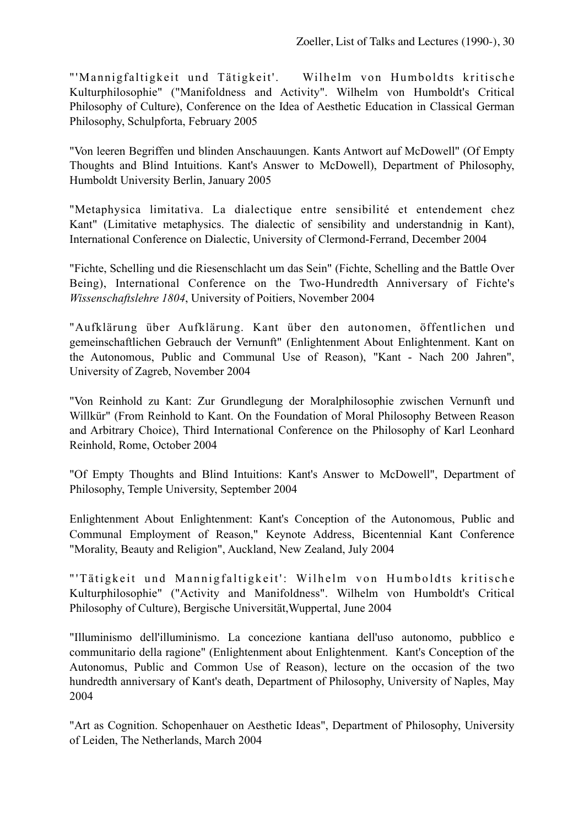"'Mannigfaltigkeit und Tätigkeit'. Wilhelm von Humboldts kritische Kulturphilosophie" ("Manifoldness and Activity". Wilhelm von Humboldt's Critical Philosophy of Culture), Conference on the Idea of Aesthetic Education in Classical German Philosophy, Schulpforta, February 2005

"Von leeren Begriffen und blinden Anschauungen. Kants Antwort auf McDowell" (Of Empty Thoughts and Blind Intuitions. Kant's Answer to McDowell), Department of Philosophy, Humboldt University Berlin, January 2005

"Metaphysica limitativa. La dialectique entre sensibilité et entendement chez Kant" (Limitative metaphysics. The dialectic of sensibility and understandnig in Kant), International Conference on Dialectic, University of Clermond-Ferrand, December 2004

"Fichte, Schelling und die Riesenschlacht um das Sein" (Fichte, Schelling and the Battle Over Being), International Conference on the Two-Hundredth Anniversary of Fichte's *Wissenschaftslehre 1804*, University of Poitiers, November 2004

"Aufklärung über Aufklärung. Kant über den autonomen, öffentlichen und gemeinschaftlichen Gebrauch der Vernunft" (Enlightenment About Enlightenment. Kant on the Autonomous, Public and Communal Use of Reason), "Kant - Nach 200 Jahren", University of Zagreb, November 2004

"Von Reinhold zu Kant: Zur Grundlegung der Moralphilosophie zwischen Vernunft und Willkür" (From Reinhold to Kant. On the Foundation of Moral Philosophy Between Reason and Arbitrary Choice), Third International Conference on the Philosophy of Karl Leonhard Reinhold, Rome, October 2004

"Of Empty Thoughts and Blind Intuitions: Kant's Answer to McDowell", Department of Philosophy, Temple University, September 2004

Enlightenment About Enlightenment: Kant's Conception of the Autonomous, Public and Communal Employment of Reason," Keynote Address, Bicentennial Kant Conference "Morality, Beauty and Religion", Auckland, New Zealand, July 2004

"'Tätigkeit und Mannigfaltigkeit': Wilhelm von Humboldts kritische Kulturphilosophie" ("Activity and Manifoldness". Wilhelm von Humboldt's Critical Philosophy of Culture), Bergische Universität,Wuppertal, June 2004

"Illuminismo dell'illuminismo. La concezione kantiana dell'uso autonomo, pubblico e communitario della ragione" (Enlightenment about Enlightenment. Kant's Conception of the Autonomus, Public and Common Use of Reason), lecture on the occasion of the two hundredth anniversary of Kant's death, Department of Philosophy, University of Naples, May 2004

"Art as Cognition. Schopenhauer on Aesthetic Ideas", Department of Philosophy, University of Leiden, The Netherlands, March 2004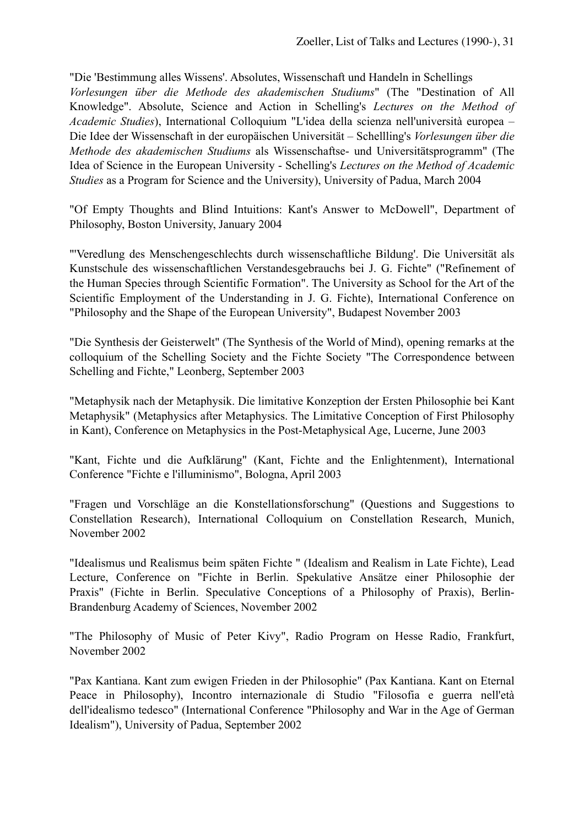"Die 'Bestimmung alles Wissens'. Absolutes, Wissenschaft und Handeln in Schellings *Vorlesungen über die Methode des akademischen Studiums*" (The "Destination of All Knowledge". Absolute, Science and Action in Schelling's *Lectures on the Method of Academic Studies*), International Colloquium "L'idea della scienza nell'università europea – Die Idee der Wissenschaft in der europäischen Universität – Schellling's *Vorlesungen über die Methode des akademischen Studiums* als Wissenschaftse- und Universitätsprogramm" (The Idea of Science in the European University - Schelling's *Lectures on the Method of Academic Studies* as a Program for Science and the University), University of Padua, March 2004

"Of Empty Thoughts and Blind Intuitions: Kant's Answer to McDowell", Department of Philosophy, Boston University, January 2004

"'Veredlung des Menschengeschlechts durch wissenschaftliche Bildung'. Die Universität als Kunstschule des wissenschaftlichen Verstandesgebrauchs bei J. G. Fichte" ("Refinement of the Human Species through Scientific Formation". The University as School for the Art of the Scientific Employment of the Understanding in J. G. Fichte), International Conference on "Philosophy and the Shape of the European University", Budapest November 2003

"Die Synthesis der Geisterwelt" (The Synthesis of the World of Mind), opening remarks at the colloquium of the Schelling Society and the Fichte Society "The Correspondence between Schelling and Fichte," Leonberg, September 2003

"Metaphysik nach der Metaphysik. Die limitative Konzeption der Ersten Philosophie bei Kant Metaphysik" (Metaphysics after Metaphysics. The Limitative Conception of First Philosophy in Kant), Conference on Metaphysics in the Post-Metaphysical Age, Lucerne, June 2003

"Kant, Fichte und die Aufklärung" (Kant, Fichte and the Enlightenment), International Conference "Fichte e l'illuminismo", Bologna, April 2003

"Fragen und Vorschläge an die Konstellationsforschung" (Questions and Suggestions to Constellation Research), International Colloquium on Constellation Research, Munich, November 2002

"Idealismus und Realismus beim späten Fichte " (Idealism and Realism in Late Fichte), Lead Lecture, Conference on "Fichte in Berlin. Spekulative Ansätze einer Philosophie der Praxis" (Fichte in Berlin. Speculative Conceptions of a Philosophy of Praxis), Berlin-Brandenburg Academy of Sciences, November 2002

"The Philosophy of Music of Peter Kivy", Radio Program on Hesse Radio, Frankfurt, November 2002

"Pax Kantiana. Kant zum ewigen Frieden in der Philosophie" (Pax Kantiana. Kant on Eternal Peace in Philosophy), Incontro internazionale di Studio "Filosofia e guerra nell'età dell'idealismo tedesco" (International Conference "Philosophy and War in the Age of German Idealism"), University of Padua, September 2002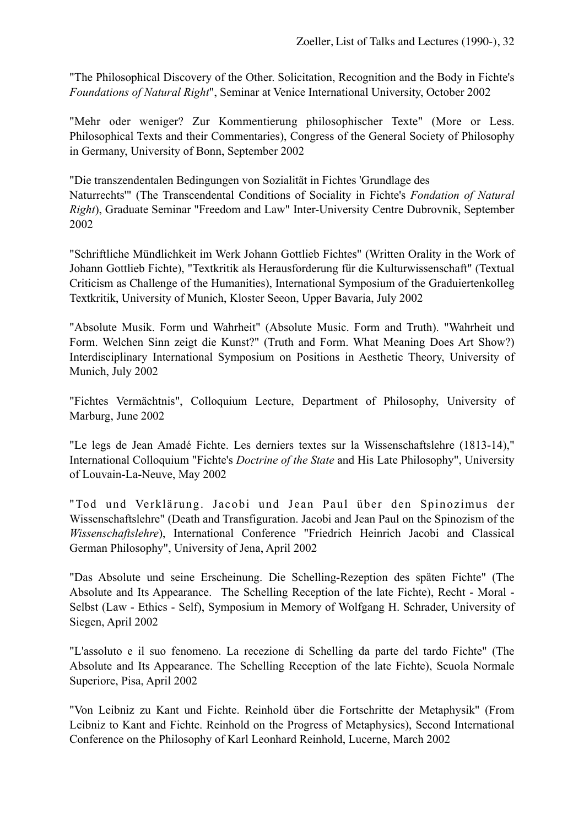"The Philosophical Discovery of the Other. Solicitation, Recognition and the Body in Fichte's *Foundations of Natural Right*", Seminar at Venice International University, October 2002

"Mehr oder weniger? Zur Kommentierung philosophischer Texte" (More or Less. Philosophical Texts and their Commentaries), Congress of the General Society of Philosophy in Germany, University of Bonn, September 2002

"Die transzendentalen Bedingungen von Sozialität in Fichtes 'Grundlage des Naturrechts'" (The Transcendental Conditions of Sociality in Fichte's *Fondation of Natural Right*), Graduate Seminar "Freedom and Law" Inter-University Centre Dubrovnik, September 2002

"Schriftliche Mündlichkeit im Werk Johann Gottlieb Fichtes" (Written Orality in the Work of Johann Gottlieb Fichte), "Textkritik als Herausforderung für die Kulturwissenschaft" (Textual Criticism as Challenge of the Humanities), International Symposium of the Graduiertenkolleg Textkritik, University of Munich, Kloster Seeon, Upper Bavaria, July 2002

"Absolute Musik. Form und Wahrheit" (Absolute Music. Form and Truth). "Wahrheit und Form. Welchen Sinn zeigt die Kunst?" (Truth and Form. What Meaning Does Art Show?) Interdisciplinary International Symposium on Positions in Aesthetic Theory, University of Munich, July 2002

"Fichtes Vermächtnis", Colloquium Lecture, Department of Philosophy, University of Marburg, June 2002

"Le legs de Jean Amadé Fichte. Les derniers textes sur la Wissenschaftslehre (1813-14)," International Colloquium "Fichte's *Doctrine of the State* and His Late Philosophy", University of Louvain-La-Neuve, May 2002

"Tod und Verklärung. Jacobi und Jean Paul über den Spinozimus der Wissenschaftslehre" (Death and Transfiguration. Jacobi and Jean Paul on the Spinozism of the *Wissenschaftslehre*), International Conference "Friedrich Heinrich Jacobi and Classical German Philosophy", University of Jena, April 2002

"Das Absolute und seine Erscheinung. Die Schelling-Rezeption des späten Fichte" (The Absolute and Its Appearance. The Schelling Reception of the late Fichte), Recht - Moral - Selbst (Law - Ethics - Self), Symposium in Memory of Wolfgang H. Schrader, University of Siegen, April 2002

"L'assoluto e il suo fenomeno. La recezione di Schelling da parte del tardo Fichte" (The Absolute and Its Appearance. The Schelling Reception of the late Fichte), Scuola Normale Superiore, Pisa, April 2002

"Von Leibniz zu Kant und Fichte. Reinhold über die Fortschritte der Metaphysik" (From Leibniz to Kant and Fichte. Reinhold on the Progress of Metaphysics), Second International Conference on the Philosophy of Karl Leonhard Reinhold, Lucerne, March 2002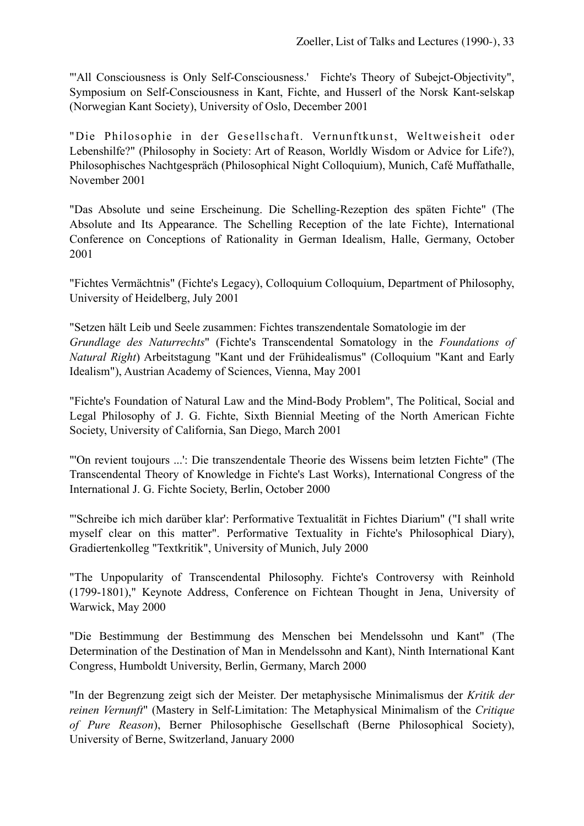"'All Consciousness is Only Self-Consciousness.' Fichte's Theory of Subejct-Objectivity", Symposium on Self-Consciousness in Kant, Fichte, and Husserl of the Norsk Kant-selskap (Norwegian Kant Society), University of Oslo, December 2001

"Die Philosophie in der Gesellschaft. Vernunftkunst, Weltweisheit oder Lebenshilfe?" (Philosophy in Society: Art of Reason, Worldly Wisdom or Advice for Life?), Philosophisches Nachtgespräch (Philosophical Night Colloquium), Munich, Café Muffathalle, November 2001

"Das Absolute und seine Erscheinung. Die Schelling-Rezeption des späten Fichte" (The Absolute and Its Appearance. The Schelling Reception of the late Fichte), International Conference on Conceptions of Rationality in German Idealism, Halle, Germany, October 2001

"Fichtes Vermächtnis" (Fichte's Legacy), Colloquium Colloquium, Department of Philosophy, University of Heidelberg, July 2001

"Setzen hält Leib und Seele zusammen: Fichtes transzendentale Somatologie im der *Grundlage des Naturrechts*" (Fichte's Transcendental Somatology in the *Foundations of Natural Right*) Arbeitstagung "Kant und der Frühidealismus" (Colloquium "Kant and Early Idealism"), Austrian Academy of Sciences, Vienna, May 2001

"Fichte's Foundation of Natural Law and the Mind-Body Problem", The Political, Social and Legal Philosophy of J. G. Fichte, Sixth Biennial Meeting of the North American Fichte Society, University of California, San Diego, March 2001

"'On revient toujours ...': Die transzendentale Theorie des Wissens beim letzten Fichte" (The Transcendental Theory of Knowledge in Fichte's Last Works), International Congress of the International J. G. Fichte Society, Berlin, October 2000

"'Schreibe ich mich darüber klar': Performative Textualität in Fichtes Diarium" ("I shall write myself clear on this matter". Performative Textuality in Fichte's Philosophical Diary), Gradiertenkolleg "Textkritik", University of Munich, July 2000

"The Unpopularity of Transcendental Philosophy. Fichte's Controversy with Reinhold (1799-1801)," Keynote Address, Conference on Fichtean Thought in Jena, University of Warwick, May 2000

"Die Bestimmung der Bestimmung des Menschen bei Mendelssohn und Kant" (The Determination of the Destination of Man in Mendelssohn and Kant), Ninth International Kant Congress, Humboldt University, Berlin, Germany, March 2000

"In der Begrenzung zeigt sich der Meister. Der metaphysische Minimalismus der *Kritik der reinen Vernunft*" (Mastery in Self-Limitation: The Metaphysical Minimalism of the *Critique of Pure Reason*), Berner Philosophische Gesellschaft (Berne Philosophical Society), University of Berne, Switzerland, January 2000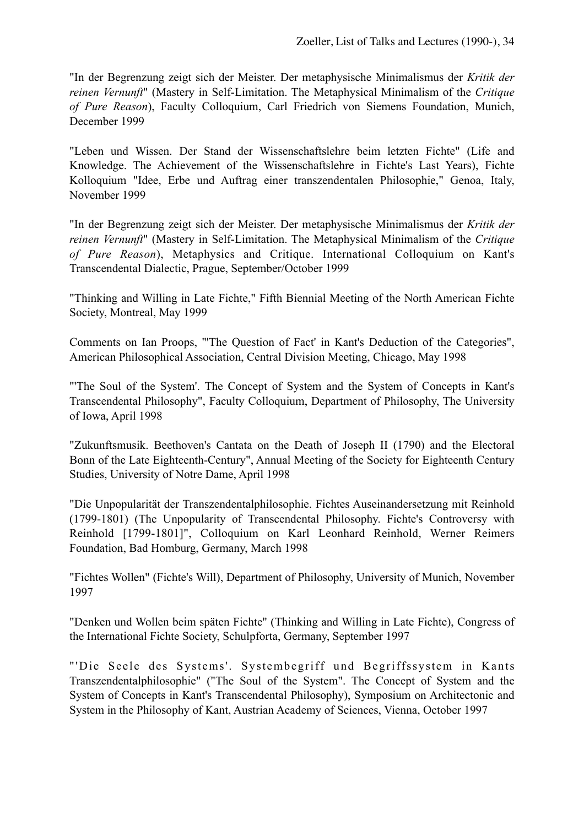"In der Begrenzung zeigt sich der Meister. Der metaphysische Minimalismus der *Kritik der reinen Vernunft*" (Mastery in Self-Limitation. The Metaphysical Minimalism of the *Critique of Pure Reason*), Faculty Colloquium, Carl Friedrich von Siemens Foundation, Munich, December 1999

"Leben und Wissen. Der Stand der Wissenschaftslehre beim letzten Fichte" (Life and Knowledge. The Achievement of the Wissenschaftslehre in Fichte's Last Years), Fichte Kolloquium "Idee, Erbe und Auftrag einer transzendentalen Philosophie," Genoa, Italy, November 1999

"In der Begrenzung zeigt sich der Meister. Der metaphysische Minimalismus der *Kritik der reinen Vernunft*" (Mastery in Self-Limitation. The Metaphysical Minimalism of the *Critique of Pure Reason*), Metaphysics and Critique. International Colloquium on Kant's Transcendental Dialectic, Prague, September/October 1999

"Thinking and Willing in Late Fichte," Fifth Biennial Meeting of the North American Fichte Society, Montreal, May 1999

Comments on Ian Proops, "'The Question of Fact' in Kant's Deduction of the Categories", American Philosophical Association, Central Division Meeting, Chicago, May 1998

"'The Soul of the System'. The Concept of System and the System of Concepts in Kant's Transcendental Philosophy", Faculty Colloquium, Department of Philosophy, The University of Iowa, April 1998

"Zukunftsmusik. Beethoven's Cantata on the Death of Joseph II (1790) and the Electoral Bonn of the Late Eighteenth-Century", Annual Meeting of the Society for Eighteenth Century Studies, University of Notre Dame, April 1998

"Die Unpopularität der Transzendentalphilosophie. Fichtes Auseinandersetzung mit Reinhold (1799-1801) (The Unpopularity of Transcendental Philosophy. Fichte's Controversy with Reinhold [1799-1801]", Colloquium on Karl Leonhard Reinhold, Werner Reimers Foundation, Bad Homburg, Germany, March 1998

"Fichtes Wollen" (Fichte's Will), Department of Philosophy, University of Munich, November 1997

"Denken und Wollen beim späten Fichte" (Thinking and Willing in Late Fichte), Congress of the International Fichte Society, Schulpforta, Germany, September 1997

"'Die Seele des Systems'. Systembegriff und Begriffssystem in Kants Transzendentalphilosophie" ("The Soul of the System". The Concept of System and the System of Concepts in Kant's Transcendental Philosophy), Symposium on Architectonic and System in the Philosophy of Kant, Austrian Academy of Sciences, Vienna, October 1997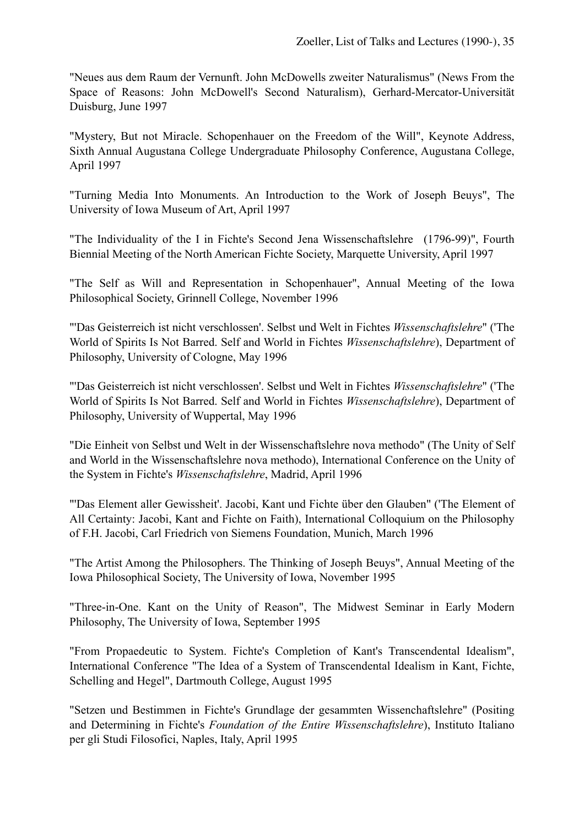"Neues aus dem Raum der Vernunft. John McDowells zweiter Naturalismus" (News From the Space of Reasons: John McDowell's Second Naturalism), Gerhard-Mercator-Universität Duisburg, June 1997

"Mystery, But not Miracle. Schopenhauer on the Freedom of the Will", Keynote Address, Sixth Annual Augustana College Undergraduate Philosophy Conference, Augustana College, April 1997

"Turning Media Into Monuments. An Introduction to the Work of Joseph Beuys", The University of Iowa Museum of Art, April 1997

"The Individuality of the I in Fichte's Second Jena Wissenschaftslehre (1796-99)", Fourth Biennial Meeting of the North American Fichte Society, Marquette University, April 1997

"The Self as Will and Representation in Schopenhauer", Annual Meeting of the Iowa Philosophical Society, Grinnell College, November 1996

"'Das Geisterreich ist nicht verschlossen'. Selbst und Welt in Fichtes *Wissenschaftslehre*" ('The World of Spirits Is Not Barred. Self and World in Fichtes *Wissenschaftslehre*), Department of Philosophy, University of Cologne, May 1996

"'Das Geisterreich ist nicht verschlossen'. Selbst und Welt in Fichtes *Wissenschaftslehre*" ('The World of Spirits Is Not Barred. Self and World in Fichtes *Wissenschaftslehre*), Department of Philosophy, University of Wuppertal, May 1996

"Die Einheit von Selbst und Welt in der Wissenschaftslehre nova methodo" (The Unity of Self and World in the Wissenschaftslehre nova methodo), International Conference on the Unity of the System in Fichte's *Wissenschaftslehre*, Madrid, April 1996

"'Das Element aller Gewissheit'. Jacobi, Kant und Fichte über den Glauben" ('The Element of All Certainty: Jacobi, Kant and Fichte on Faith), International Colloquium on the Philosophy of F.H. Jacobi, Carl Friedrich von Siemens Foundation, Munich, March 1996

"The Artist Among the Philosophers. The Thinking of Joseph Beuys", Annual Meeting of the Iowa Philosophical Society, The University of Iowa, November 1995

"Three-in-One. Kant on the Unity of Reason", The Midwest Seminar in Early Modern Philosophy, The University of Iowa, September 1995

"From Propaedeutic to System. Fichte's Completion of Kant's Transcendental Idealism", International Conference "The Idea of a System of Transcendental Idealism in Kant, Fichte, Schelling and Hegel", Dartmouth College, August 1995

"Setzen und Bestimmen in Fichte's Grundlage der gesammten Wissenchaftslehre" (Positing and Determining in Fichte's *Foundation of the Entire Wissenschaftslehre*), Instituto Italiano per gli Studi Filosofici, Naples, Italy, April 1995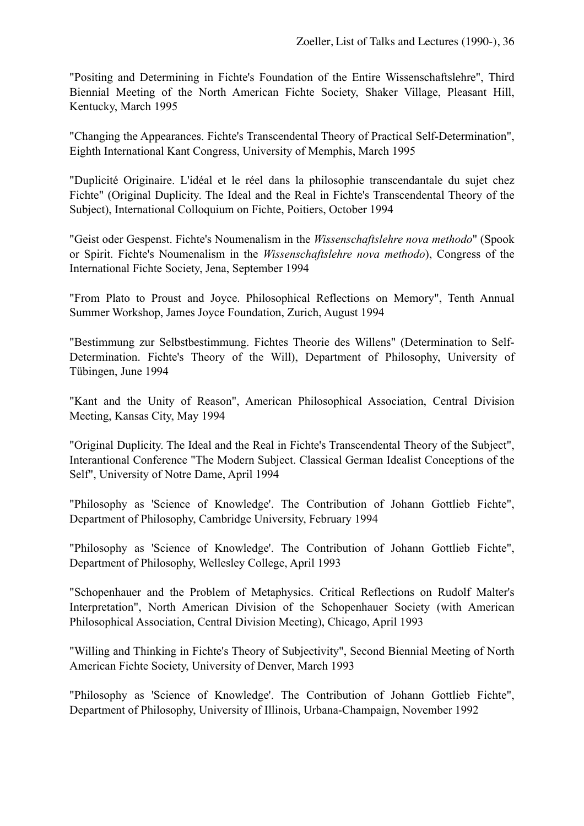"Positing and Determining in Fichte's Foundation of the Entire Wissenschaftslehre", Third Biennial Meeting of the North American Fichte Society, Shaker Village, Pleasant Hill, Kentucky, March 1995

"Changing the Appearances. Fichte's Transcendental Theory of Practical Self-Determination", Eighth International Kant Congress, University of Memphis, March 1995

"Duplicité Originaire. L'idéal et le réel dans la philosophie transcendantale du sujet chez Fichte" (Original Duplicity. The Ideal and the Real in Fichte's Transcendental Theory of the Subject), International Colloquium on Fichte, Poitiers, October 1994

"Geist oder Gespenst. Fichte's Noumenalism in the *Wissenschaftslehre nova methodo*" (Spook or Spirit. Fichte's Noumenalism in the *Wissenschaftslehre nova methodo*), Congress of the International Fichte Society, Jena, September 1994

"From Plato to Proust and Joyce. Philosophical Reflections on Memory", Tenth Annual Summer Workshop, James Joyce Foundation, Zurich, August 1994

"Bestimmung zur Selbstbestimmung. Fichtes Theorie des Willens" (Determination to Self-Determination. Fichte's Theory of the Will), Department of Philosophy, University of Tübingen, June 1994

"Kant and the Unity of Reason", American Philosophical Association, Central Division Meeting, Kansas City, May 1994

"Original Duplicity. The Ideal and the Real in Fichte's Transcendental Theory of the Subject", Interantional Conference "The Modern Subject. Classical German Idealist Conceptions of the Self", University of Notre Dame, April 1994

"Philosophy as 'Science of Knowledge'. The Contribution of Johann Gottlieb Fichte", Department of Philosophy, Cambridge University, February 1994

"Philosophy as 'Science of Knowledge'. The Contribution of Johann Gottlieb Fichte", Department of Philosophy, Wellesley College, April 1993

"Schopenhauer and the Problem of Metaphysics. Critical Reflections on Rudolf Malter's Interpretation", North American Division of the Schopenhauer Society (with American Philosophical Association, Central Division Meeting), Chicago, April 1993

"Willing and Thinking in Fichte's Theory of Subjectivity", Second Biennial Meeting of North American Fichte Society, University of Denver, March 1993

"Philosophy as 'Science of Knowledge'. The Contribution of Johann Gottlieb Fichte", Department of Philosophy, University of Illinois, Urbana-Champaign, November 1992